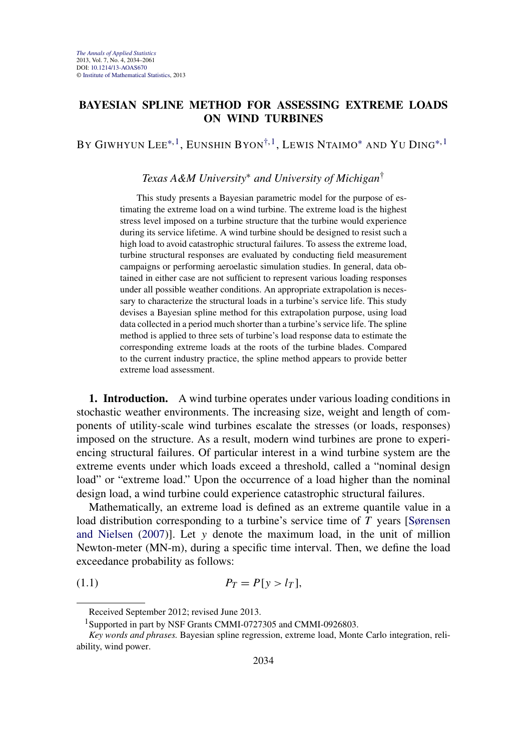# <span id="page-0-0"></span>**BAYESIAN SPLINE METHOD FOR ASSESSING EXTREME LOADS ON WIND TURBINES**

BY GIWHYUN LEE<sup>\*, 1</sup>, EUNSHIN BYON<sup>†, 1</sup>, LEWIS NTAIMO<sup>\*</sup> AND YU DING<sup>\*, 1</sup>

*Texas A&M University*<sup>∗</sup> *and University of Michigan*†

This study presents a Bayesian parametric model for the purpose of estimating the extreme load on a wind turbine. The extreme load is the highest stress level imposed on a turbine structure that the turbine would experience during its service lifetime. A wind turbine should be designed to resist such a high load to avoid catastrophic structural failures. To assess the extreme load, turbine structural responses are evaluated by conducting field measurement campaigns or performing aeroelastic simulation studies. In general, data obtained in either case are not sufficient to represent various loading responses under all possible weather conditions. An appropriate extrapolation is necessary to characterize the structural loads in a turbine's service life. This study devises a Bayesian spline method for this extrapolation purpose, using load data collected in a period much shorter than a turbine's service life. The spline method is applied to three sets of turbine's load response data to estimate the corresponding extreme loads at the roots of the turbine blades. Compared to the current industry practice, the spline method appears to provide better extreme load assessment.

**1. Introduction.** A wind turbine operates under various loading conditions in stochastic weather environments. The increasing size, weight and length of components of utility-scale wind turbines escalate the stresses (or loads, responses) imposed on the structure. As a result, modern wind turbines are prone to experiencing structural failures. Of particular interest in a wind turbine system are the extreme events under which loads exceed a threshold, called a "nominal design load" or "extreme load." Upon the occurrence of a load higher than the nominal design load, a wind turbine could experience catastrophic structural failures.

Mathematically, an extreme load is defined as an extreme quantile value in a load distribution corresponding to a turbine's service time of *T* years [\[Sørensen](#page-27-0) [and Nielsen](#page-27-0) [\(2007\)](#page-27-0)]. Let *y* denote the maximum load, in the unit of million Newton-meter (MN-m), during a specific time interval. Then, we define the load exceedance probability as follows:

$$
(1.1) \t\t\t P_T = P[y > l_T],
$$

Received September 2012; revised June 2013.

<sup>&</sup>lt;sup>1</sup>Supported in part by NSF Grants CMMI-0727305 and CMMI-0926803.

*Key words and phrases.* Bayesian spline regression, extreme load, Monte Carlo integration, reliability, wind power.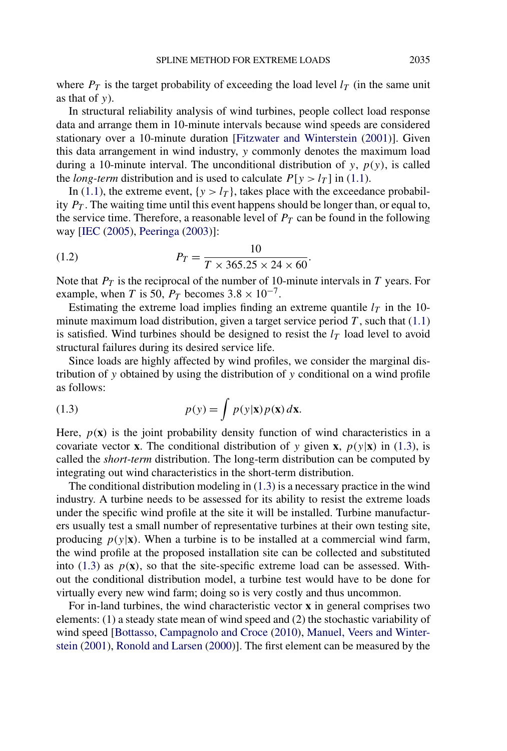<span id="page-1-0"></span>where  $P_T$  is the target probability of exceeding the load level  $l_T$  (in the same unit as that of *y*).

In structural reliability analysis of wind turbines, people collect load response data and arrange them in 10-minute intervals because wind speeds are considered stationary over a 10-minute duration [\[Fitzwater and Winterstein](#page-26-0) [\(2001\)](#page-26-0)]. Given this data arrangement in wind industry, *y* commonly denotes the maximum load during a 10-minute interval. The unconditional distribution of  $y$ ,  $p(y)$ , is called the *long-term* distribution and is used to calculate  $P[y > l_T]$  in [\(1.1\)](#page-0-0).

In [\(1.1\)](#page-0-0), the extreme event,  $\{y > l_T\}$ , takes place with the exceedance probability  $P_T$ . The waiting time until this event happens should be longer than, or equal to, the service time. Therefore, a reasonable level of  $P<sub>T</sub>$  can be found in the following way [\[IEC](#page-26-0) [\(2005\)](#page-26-0), [Peeringa](#page-26-0) [\(2003\)](#page-26-0)]:

(1.2) 
$$
P_T = \frac{10}{T \times 365.25 \times 24 \times 60}.
$$

Note that  $P_T$  is the reciprocal of the number of 10-minute intervals in  $T$  years. For example, when *T* is 50,  $P_T$  becomes 3.8 × 10<sup>-7</sup>.

Estimating the extreme load implies finding an extreme quantile  $l_T$  in the 10minute maximum load distribution, given a target service period  $T$ , such that  $(1.1)$ is satisfied. Wind turbines should be designed to resist the  $l_T$  load level to avoid structural failures during its desired service life.

Since loads are highly affected by wind profiles, we consider the marginal distribution of *y* obtained by using the distribution of *y* conditional on a wind profile as follows:

(1.3) 
$$
p(y) = \int p(y|\mathbf{x})p(\mathbf{x}) d\mathbf{x}.
$$

Here,  $p(x)$  is the joint probability density function of wind characteristics in a covariate vector **x**. The conditional distribution of *y* given **x**,  $p(y|\mathbf{x})$  in (1.3), is called the *short-term* distribution. The long-term distribution can be computed by integrating out wind characteristics in the short-term distribution.

The conditional distribution modeling in (1.3) is a necessary practice in the wind industry. A turbine needs to be assessed for its ability to resist the extreme loads under the specific wind profile at the site it will be installed. Turbine manufacturers usually test a small number of representative turbines at their own testing site, producing  $p(y|\mathbf{x})$ . When a turbine is to be installed at a commercial wind farm, the wind profile at the proposed installation site can be collected and substituted into (1.3) as  $p(x)$ , so that the site-specific extreme load can be assessed. Without the conditional distribution model, a turbine test would have to be done for virtually every new wind farm; doing so is very costly and thus uncommon.

For in-land turbines, the wind characteristic vector **x** in general comprises two elements: (1) a steady state mean of wind speed and (2) the stochastic variability of wind speed [\[Bottasso, Campagnolo and Croce](#page-26-0) [\(2010\)](#page-26-0), [Manuel, Veers and Winter](#page-26-0)[stein](#page-26-0) [\(2001\)](#page-26-0), [Ronold and Larsen](#page-27-0) [\(2000\)](#page-27-0)]. The first element can be measured by the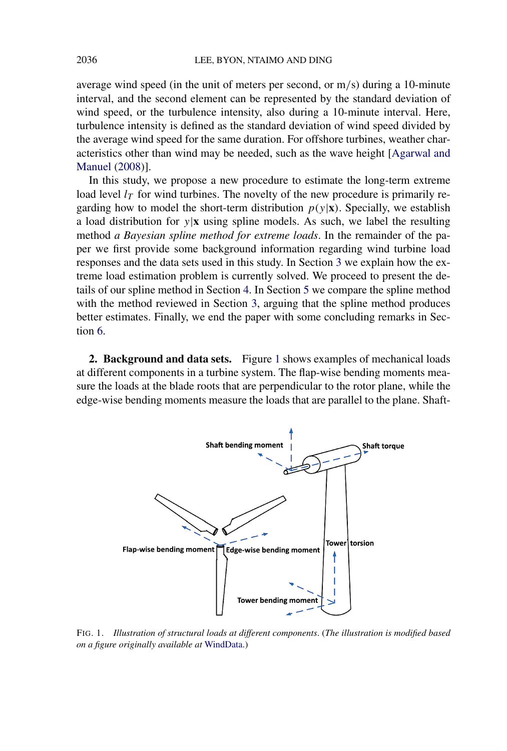average wind speed (in the unit of meters per second, or m*/*s) during a 10-minute interval, and the second element can be represented by the standard deviation of wind speed, or the turbulence intensity, also during a 10-minute interval. Here, turbulence intensity is defined as the standard deviation of wind speed divided by the average wind speed for the same duration. For offshore turbines, weather characteristics other than wind may be needed, such as the wave height [\[Agarwal and](#page-26-0) [Manuel](#page-26-0) [\(2008\)](#page-26-0)].

In this study, we propose a new procedure to estimate the long-term extreme load level  $l_T$  for wind turbines. The novelty of the new procedure is primarily regarding how to model the short-term distribution  $p(y|\mathbf{x})$ . Specially, we establish a load distribution for *y*|**x** using spline models. As such, we label the resulting method *a Bayesian spline method for extreme loads*. In the remainder of the paper we first provide some background information regarding wind turbine load responses and the data sets used in this study. In Section [3](#page-4-0) we explain how the extreme load estimation problem is currently solved. We proceed to present the details of our spline method in Section [4.](#page-6-0) In Section [5](#page-14-0) we compare the spline method with the method reviewed in Section [3,](#page-4-0) arguing that the spline method produces better estimates. Finally, we end the paper with some concluding remarks in Section [6.](#page-21-0)

**2. Background and data sets.** Figure 1 shows examples of mechanical loads at different components in a turbine system. The flap-wise bending moments measure the loads at the blade roots that are perpendicular to the rotor plane, while the edge-wise bending moments measure the loads that are parallel to the plane. Shaft-



FIG. 1. *Illustration of structural loads at different components*. (*The illustration is modified based on a figure originally available at* [WindData.](#page-27-0))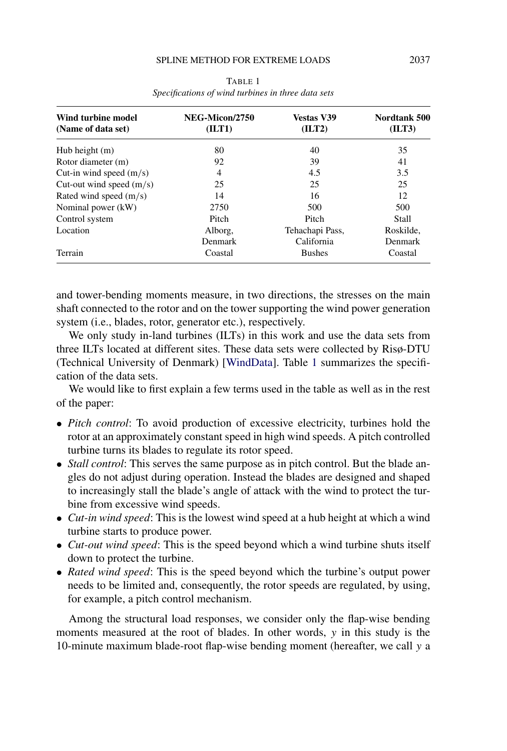#### SPLINE METHOD FOR EXTREME LOADS 2037

| Wind turbine model<br>(Name of data set) | NEG-Micon/2750<br>(ILT1) | <b>Vestas V39</b><br>(ILT2) | Nordtank 500<br>(III3) |
|------------------------------------------|--------------------------|-----------------------------|------------------------|
| Hub height $(m)$                         | 80                       | 40                          | 35                     |
| Rotor diameter (m)                       | 92                       | 39                          | 41                     |
| Cut-in wind speed $(m/s)$                | 4                        | 4.5                         | 3.5                    |
| Cut-out wind speed $(m/s)$               | 25                       | 25                          | 25                     |
| Rated wind speed $(m/s)$                 | 14                       | 16                          | 12                     |
| Nominal power (kW)                       | 2750                     | 500                         | 500                    |
| Control system                           | Pitch                    | Pitch                       | Stall                  |
| Location                                 | Alborg,                  | Tehachapi Pass,             | Roskilde,              |
|                                          | Denmark                  | California                  | Denmark                |
| Terrain                                  | Coastal                  | <b>Bushes</b>               | Coastal                |

TABLE 1 *Specifications of wind turbines in three data sets*

and tower-bending moments measure, in two directions, the stresses on the main shaft connected to the rotor and on the tower supporting the wind power generation system (i.e., blades, rotor, generator etc.), respectively.

We only study in-land turbines (ILTs) in this work and use the data sets from three ILTs located at different sites. These data sets were collected by Risø-DTU (Technical University of Denmark) [\[WindData\]](#page-27-0). Table 1 summarizes the specification of the data sets.

We would like to first explain a few terms used in the table as well as in the rest of the paper:

- *Pitch control*: To avoid production of excessive electricity, turbines hold the rotor at an approximately constant speed in high wind speeds. A pitch controlled turbine turns its blades to regulate its rotor speed.
- *Stall control*: This serves the same purpose as in pitch control. But the blade angles do not adjust during operation. Instead the blades are designed and shaped to increasingly stall the blade's angle of attack with the wind to protect the turbine from excessive wind speeds.
- *Cut-in wind speed*: This is the lowest wind speed at a hub height at which a wind turbine starts to produce power.
- *Cut-out wind speed*: This is the speed beyond which a wind turbine shuts itself down to protect the turbine.
- *Rated wind speed*: This is the speed beyond which the turbine's output power needs to be limited and, consequently, the rotor speeds are regulated, by using, for example, a pitch control mechanism.

Among the structural load responses, we consider only the flap-wise bending moments measured at the root of blades. In other words, *y* in this study is the 10-minute maximum blade-root flap-wise bending moment (hereafter, we call *y* a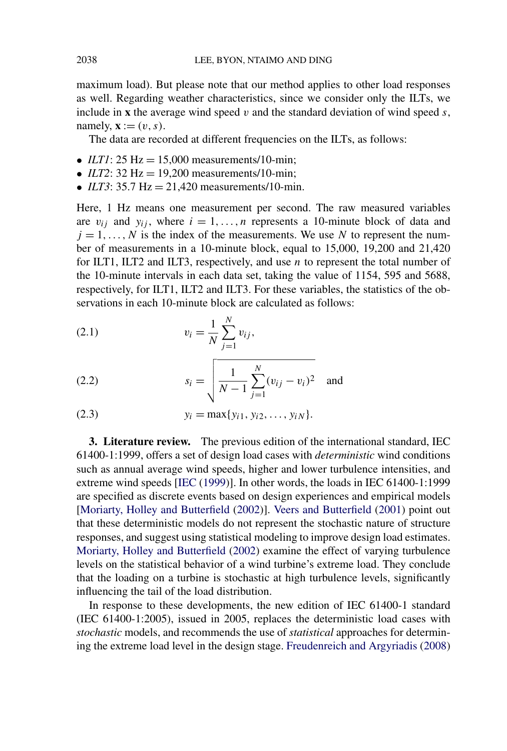<span id="page-4-0"></span>maximum load). But please note that our method applies to other load responses as well. Regarding weather characteristics, since we consider only the ILTs, we include in **x** the average wind speed *v* and the standard deviation of wind speed *s*, namely,  $\mathbf{x} := (v, s)$ .

The data are recorded at different frequencies on the ILTs, as follows:

- *ILT1*:  $25 \text{ Hz} = 15,000 \text{ measurements} / 10 \text{-min}$ ;
- *ILT2*:  $32 \text{ Hz} = 19,200 \text{ measurements} / 10 \text{-min}$ ;
- *ILT3*: 35.7 Hz = 21.420 measurements/10-min.

Here, 1 Hz means one measurement per second. The raw measured variables are  $v_{ij}$  and  $y_{ij}$ , where  $i = 1, ..., n$  represents a 10-minute block of data and  $j = 1, \ldots, N$  is the index of the measurements. We use N to represent the number of measurements in a 10-minute block, equal to 15,000, 19,200 and 21,420 for ILT1, ILT2 and ILT3, respectively, and use *n* to represent the total number of the 10-minute intervals in each data set, taking the value of 1154, 595 and 5688, respectively, for ILT1, ILT2 and ILT3. For these variables, the statistics of the observations in each 10-minute block are calculated as follows:

(2.1) 
$$
v_i = \frac{1}{N} \sum_{j=1}^{N} v_{ij},
$$

(2.2) 
$$
s_i = \sqrt{\frac{1}{N-1} \sum_{j=1}^{N} (v_{ij} - v_i)^2} \text{ and}
$$

(2.3) 
$$
y_i = \max\{y_{i1}, y_{i2}, \dots, y_{iN}\}.
$$

**3. Literature review.** The previous edition of the international standard, IEC 61400-1:1999, offers a set of design load cases with *deterministic* wind conditions such as annual average wind speeds, higher and lower turbulence intensities, and extreme wind speeds [\[IEC](#page-26-0) [\(1999\)](#page-26-0)]. In other words, the loads in IEC 61400-1:1999 are specified as discrete events based on design experiences and empirical models [\[Moriarty, Holley and Butterfield](#page-26-0) [\(2002\)](#page-26-0)]. [Veers and Butterfield](#page-27-0) [\(2001\)](#page-27-0) point out that these deterministic models do not represent the stochastic nature of structure responses, and suggest using statistical modeling to improve design load estimates. [Moriarty, Holley and Butterfield](#page-26-0) [\(2002\)](#page-26-0) examine the effect of varying turbulence levels on the statistical behavior of a wind turbine's extreme load. They conclude that the loading on a turbine is stochastic at high turbulence levels, significantly influencing the tail of the load distribution.

In response to these developments, the new edition of IEC 61400-1 standard (IEC 61400-1:2005), issued in 2005, replaces the deterministic load cases with *stochastic* models, and recommends the use of *statistical* approaches for determining the extreme load level in the design stage. [Freudenreich and Argyriadis](#page-26-0) [\(2008\)](#page-26-0)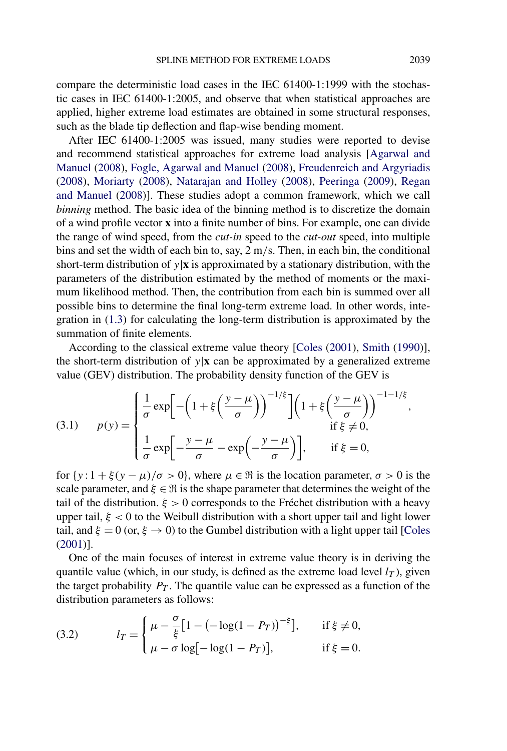compare the deterministic load cases in the IEC 61400-1:1999 with the stochastic cases in IEC 61400-1:2005, and observe that when statistical approaches are applied, higher extreme load estimates are obtained in some structural responses, such as the blade tip deflection and flap-wise bending moment.

After IEC 61400-1:2005 was issued, many studies were reported to devise and recommend statistical approaches for extreme load analysis [\[Agarwal and](#page-26-0) [Manuel](#page-26-0) [\(2008\)](#page-26-0), [Fogle, Agarwal and Manuel](#page-26-0) [\(2008\)](#page-26-0), [Freudenreich and Argyriadis](#page-26-0) [\(2008\)](#page-26-0), [Moriarty](#page-26-0) [\(2008\)](#page-26-0), [Natarajan and Holley](#page-26-0) [\(2008\)](#page-26-0), [Peeringa](#page-27-0) [\(2009\)](#page-27-0), [Regan](#page-27-0) [and Manuel](#page-27-0) [\(2008\)](#page-27-0)]. These studies adopt a common framework, which we call *binning* method. The basic idea of the binning method is to discretize the domain of a wind profile vector **x** into a finite number of bins. For example, one can divide the range of wind speed, from the *cut-in* speed to the *cut-out* speed, into multiple bins and set the width of each bin to, say, 2 m*/*s. Then, in each bin, the conditional short-term distribution of  $y|\mathbf{x}$  is approximated by a stationary distribution, with the parameters of the distribution estimated by the method of moments or the maximum likelihood method. Then, the contribution from each bin is summed over all possible bins to determine the final long-term extreme load. In other words, integration in [\(1.3\)](#page-1-0) for calculating the long-term distribution is approximated by the summation of finite elements.

According to the classical extreme value theory [\[Coles](#page-26-0) [\(2001\)](#page-26-0), [Smith](#page-27-0) [\(1990\)](#page-27-0)], the short-term distribution of  $y|x|$  can be approximated by a generalized extreme value (GEV) distribution. The probability density function of the GEV is

(3.1) 
$$
p(y) = \begin{cases} \frac{1}{\sigma} \exp\left[-\left(1 + \xi\left(\frac{y-\mu}{\sigma}\right)\right)^{-1/\xi}\right] \left(1 + \xi\left(\frac{y-\mu}{\sigma}\right)\right)^{-1-1/\xi} & \text{if } \xi \neq 0, \\ \frac{1}{\sigma} \exp\left[-\frac{y-\mu}{\sigma} - \exp\left(-\frac{y-\mu}{\sigma}\right)\right], & \text{if } \xi = 0, \end{cases}
$$

for  $\{y: 1 + \xi(y - \mu)/\sigma > 0\}$ , where  $\mu \in \mathbb{R}$  is the location parameter,  $\sigma > 0$  is the scale parameter, and  $\xi \in \mathfrak{R}$  is the shape parameter that determines the weight of the tail of the distribution.  $\xi > 0$  corresponds to the Fréchet distribution with a heavy upper tail,  $\xi$  < 0 to the Weibull distribution with a short upper tail and light lower tail, and  $\xi = 0$  (or,  $\xi \to 0$ ) to the Gumbel distribution with a light upper tail [\[Coles](#page-26-0) [\(2001\)](#page-26-0)].

One of the main focuses of interest in extreme value theory is in deriving the quantile value (which, in our study, is defined as the extreme load level  $l<sub>T</sub>$ ), given the target probability  $P_T$ . The quantile value can be expressed as a function of the distribution parameters as follows:

(3.2) 
$$
l_T = \begin{cases} \mu - \frac{\sigma}{\xi} [1 - (-\log(1 - P_T))^{-\xi}], & \text{if } \xi \neq 0, \\ \mu - \sigma \log[-\log(1 - P_T)], & \text{if } \xi = 0. \end{cases}
$$

*,*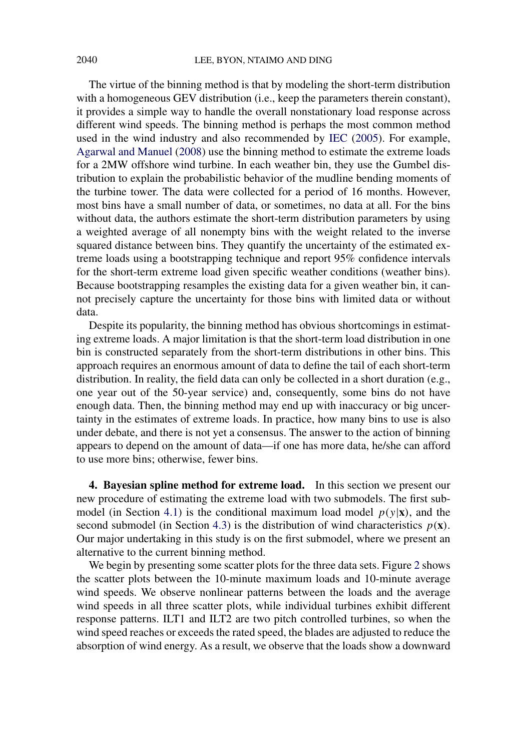<span id="page-6-0"></span>The virtue of the binning method is that by modeling the short-term distribution with a homogeneous GEV distribution (i.e., keep the parameters therein constant), it provides a simple way to handle the overall nonstationary load response across different wind speeds. The binning method is perhaps the most common method used in the wind industry and also recommended by [IEC](#page-26-0) [\(2005\)](#page-26-0). For example, [Agarwal and Manuel](#page-26-0) [\(2008\)](#page-26-0) use the binning method to estimate the extreme loads for a 2MW offshore wind turbine. In each weather bin, they use the Gumbel distribution to explain the probabilistic behavior of the mudline bending moments of the turbine tower. The data were collected for a period of 16 months. However, most bins have a small number of data, or sometimes, no data at all. For the bins without data, the authors estimate the short-term distribution parameters by using a weighted average of all nonempty bins with the weight related to the inverse squared distance between bins. They quantify the uncertainty of the estimated extreme loads using a bootstrapping technique and report 95% confidence intervals for the short-term extreme load given specific weather conditions (weather bins). Because bootstrapping resamples the existing data for a given weather bin, it cannot precisely capture the uncertainty for those bins with limited data or without data.

Despite its popularity, the binning method has obvious shortcomings in estimating extreme loads. A major limitation is that the short-term load distribution in one bin is constructed separately from the short-term distributions in other bins. This approach requires an enormous amount of data to define the tail of each short-term distribution. In reality, the field data can only be collected in a short duration (e.g., one year out of the 50-year service) and, consequently, some bins do not have enough data. Then, the binning method may end up with inaccuracy or big uncertainty in the estimates of extreme loads. In practice, how many bins to use is also under debate, and there is not yet a consensus. The answer to the action of binning appears to depend on the amount of data—if one has more data, he/she can afford to use more bins; otherwise, fewer bins.

**4. Bayesian spline method for extreme load.** In this section we present our new procedure of estimating the extreme load with two submodels. The first sub-model (in Section [4.1\)](#page-7-0) is the conditional maximum load model  $p(y|\mathbf{x})$ , and the second submodel (in Section [4.3\)](#page-12-0) is the distribution of wind characteristics  $p(\mathbf{x})$ . Our major undertaking in this study is on the first submodel, where we present an alternative to the current binning method.

We begin by presenting some scatter plots for the three data sets. Figure [2](#page-7-0) shows the scatter plots between the 10-minute maximum loads and 10-minute average wind speeds. We observe nonlinear patterns between the loads and the average wind speeds in all three scatter plots, while individual turbines exhibit different response patterns. ILT1 and ILT2 are two pitch controlled turbines, so when the wind speed reaches or exceeds the rated speed, the blades are adjusted to reduce the absorption of wind energy. As a result, we observe that the loads show a downward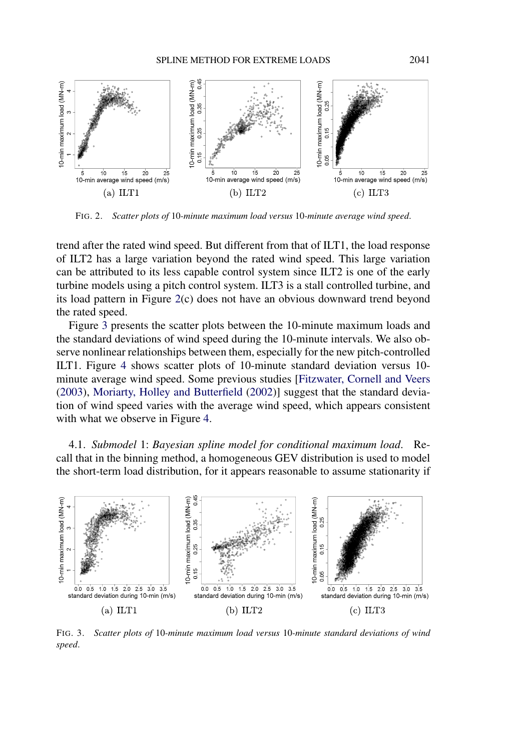<span id="page-7-0"></span>

FIG. 2. *Scatter plots of* 10*-minute maximum load versus* 10*-minute average wind speed*.

trend after the rated wind speed. But different from that of ILT1, the load response of ILT2 has a large variation beyond the rated wind speed. This large variation can be attributed to its less capable control system since ILT2 is one of the early turbine models using a pitch control system. ILT3 is a stall controlled turbine, and its load pattern in Figure 2(c) does not have an obvious downward trend beyond the rated speed.

Figure 3 presents the scatter plots between the 10-minute maximum loads and the standard deviations of wind speed during the 10-minute intervals. We also observe nonlinear relationships between them, especially for the new pitch-controlled ILT1. Figure [4](#page-8-0) shows scatter plots of 10-minute standard deviation versus 10 minute average wind speed. Some previous studies [\[Fitzwater, Cornell and Veers](#page-26-0) [\(2003\)](#page-26-0), [Moriarty, Holley and Butterfield](#page-26-0) [\(2002\)](#page-26-0)] suggest that the standard deviation of wind speed varies with the average wind speed, which appears consistent with what we observe in Figure [4.](#page-8-0)

4.1. *Submodel* 1: *Bayesian spline model for conditional maximum load*. Recall that in the binning method, a homogeneous GEV distribution is used to model the short-term load distribution, for it appears reasonable to assume stationarity if



FIG. 3. *Scatter plots of* 10*-minute maximum load versus* 10*-minute standard deviations of wind speed*.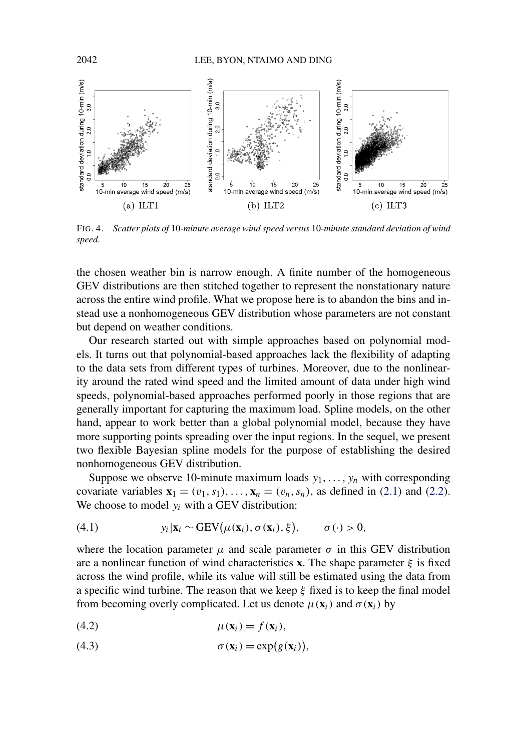<span id="page-8-0"></span>

FIG. 4. *Scatter plots of* 10*-minute average wind speed versus* 10*-minute standard deviation of wind speed*.

the chosen weather bin is narrow enough. A finite number of the homogeneous GEV distributions are then stitched together to represent the nonstationary nature across the entire wind profile. What we propose here is to abandon the bins and instead use a nonhomogeneous GEV distribution whose parameters are not constant but depend on weather conditions.

Our research started out with simple approaches based on polynomial models. It turns out that polynomial-based approaches lack the flexibility of adapting to the data sets from different types of turbines. Moreover, due to the nonlinearity around the rated wind speed and the limited amount of data under high wind speeds, polynomial-based approaches performed poorly in those regions that are generally important for capturing the maximum load. Spline models, on the other hand, appear to work better than a global polynomial model, because they have more supporting points spreading over the input regions. In the sequel, we present two flexible Bayesian spline models for the purpose of establishing the desired nonhomogeneous GEV distribution.

Suppose we observe 10-minute maximum loads  $y_1, \ldots, y_n$  with corresponding covariate variables  $\mathbf{x}_1 = (v_1, s_1), \dots, \mathbf{x}_n = (v_n, s_n)$ , as defined in [\(2.1\)](#page-4-0) and [\(2.2\)](#page-4-0). We choose to model *yi* with a GEV distribution:

(4.1) 
$$
y_i | \mathbf{x}_i \sim \text{GEV}(\mu(\mathbf{x}_i), \sigma(\mathbf{x}_i), \xi), \quad \sigma(\cdot) > 0,
$$

where the location parameter  $\mu$  and scale parameter  $\sigma$  in this GEV distribution are a nonlinear function of wind characteristics **x**. The shape parameter *ξ* is fixed across the wind profile, while its value will still be estimated using the data from a specific wind turbine. The reason that we keep *ξ* fixed is to keep the final model from becoming overly complicated. Let us denote  $\mu(\mathbf{x}_i)$  and  $\sigma(\mathbf{x}_i)$  by

$$
\mu(\mathbf{x}_i) = f(\mathbf{x}_i),
$$

$$
\sigma(\mathbf{x}_i) = \exp(g(\mathbf{x}_i)),
$$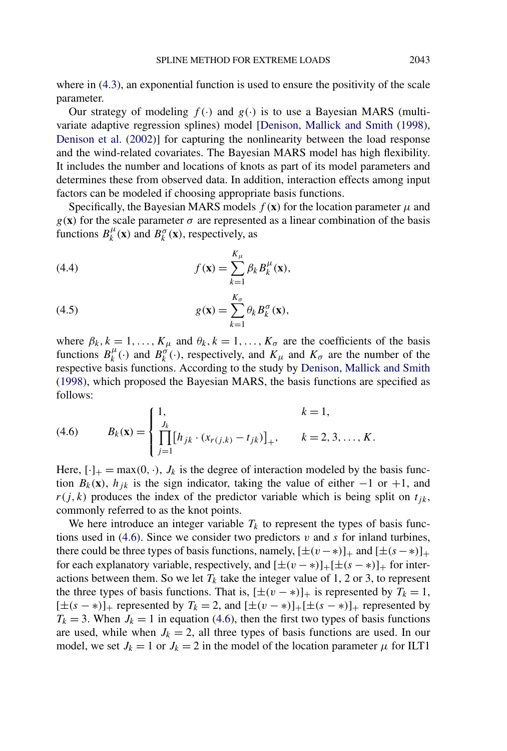<span id="page-9-0"></span>where in [\(4.3\)](#page-8-0), an exponential function is used to ensure the positivity of the scale parameter.

Our strategy of modeling  $f(\cdot)$  and  $g(\cdot)$  is to use a Bayesian MARS (multivariate adaptive regression splines) model [\[Denison, Mallick and Smith](#page-26-0) [\(1998\)](#page-26-0), [Denison et al.](#page-26-0) [\(2002\)](#page-26-0)] for capturing the nonlinearity between the load response and the wind-related covariates. The Bayesian MARS model has high flexibility. It includes the number and locations of knots as part of its model parameters and determines these from observed data. In addition, interaction effects among input factors can be modeled if choosing appropriate basis functions.

Specifically, the Bayesian MARS models  $f(\mathbf{x})$  for the location parameter  $\mu$  and  $g(x)$  for the scale parameter  $\sigma$  are represented as a linear combination of the basis functions  $B_k^{\mu}(\mathbf{x})$  and  $B_k^{\sigma}(\mathbf{x})$ , respectively, as

(4.4) 
$$
f(\mathbf{x}) = \sum_{k=1}^{K_{\mu}} \beta_k B_k^{\mu}(\mathbf{x}),
$$

(4.5) 
$$
g(\mathbf{x}) = \sum_{k=1}^{K_{\sigma}} \theta_k B_k^{\sigma}(\mathbf{x}),
$$

where  $\beta_k$ ,  $k = 1, ..., K_\mu$  and  $\theta_k$ ,  $k = 1, ..., K_\sigma$  are the coefficients of the basis functions  $B_k^{\mu}(\cdot)$  and  $B_k^{\sigma}(\cdot)$ , respectively, and  $K_{\mu}$  and  $K_{\sigma}$  are the number of the respective basis functions. According to the study by [Denison, Mallick and Smith](#page-26-0) [\(1998\)](#page-26-0), which proposed the Bayesian MARS, the basis functions are specified as follows:

(4.6) 
$$
B_k(\mathbf{x}) = \begin{cases} 1, & k = 1, \\ \prod_{j=1}^L [h_{jk} \cdot (x_{r(j,k)} - t_{jk})]_+, & k = 2, 3, ..., K. \end{cases}
$$

Here,  $[\cdot]_+ = \max(0, \cdot)$ ,  $J_k$  is the degree of interaction modeled by the basis function  $B_k(x)$ ,  $h_{jk}$  is the sign indicator, taking the value of either −1 or +1, and  $r(j,k)$  produces the index of the predictor variable which is being split on  $t_{ik}$ , commonly referred to as the knot points.

We here introduce an integer variable  $T_k$  to represent the types of basis functions used in  $(4.6)$ . Since we consider two predictors *v* and *s* for inland turbines, there could be three types of basis functions, namely,  $[\pm (v - *)]_+$  and  $[\pm (s - *)]_+$ for each explanatory variable, respectively, and  $[\pm (v - *)]_+ [\pm (s - *)]_+$  for interactions between them. So we let  $T_k$  take the integer value of 1, 2 or 3, to represent the three types of basis functions. That is,  $[\pm (v - *)]_+$  is represented by  $T_k = 1$ ,  $[\pm(s - *)]_+$  represented by  $T_k = 2$ , and  $[\pm(v - *)]_+ [\pm(s - *)]_+$  represented by  $T_k = 3$ . When  $J_k = 1$  in equation (4.6), then the first two types of basis functions are used, while when  $J_k = 2$ , all three types of basis functions are used. In our model, we set  $J_k = 1$  or  $J_k = 2$  in the model of the location parameter  $\mu$  for ILT1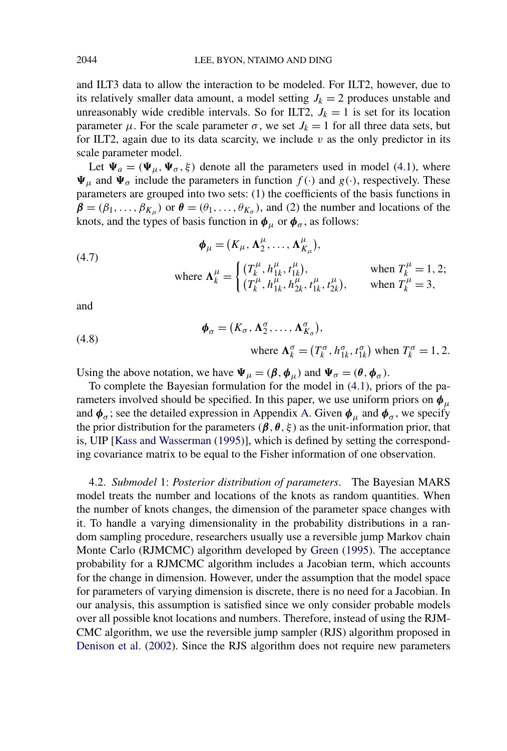<span id="page-10-0"></span>and ILT3 data to allow the interaction to be modeled. For ILT2, however, due to its relatively smaller data amount, a model setting  $J_k = 2$  produces unstable and unreasonably wide credible intervals. So for ILT2,  $J_k = 1$  is set for its location parameter  $\mu$ . For the scale parameter  $\sigma$ , we set  $J_k = 1$  for all three data sets, but for ILT2, again due to its data scarcity, we include  $v$  as the only predictor in its scale parameter model.

Let  $\Psi_a = (\Psi_\mu, \Psi_\sigma, \xi)$  denote all the parameters used in model [\(4.1\)](#page-8-0), where  $\Psi_{\mu}$  and  $\Psi_{\sigma}$  include the parameters in function  $f(\cdot)$  and  $g(\cdot)$ , respectively. These parameters are grouped into two sets: (1) the coefficients of the basis functions in  $\beta = (\beta_1, \ldots, \beta_{K_u})$  or  $\theta = (\theta_1, \ldots, \theta_{K_u})$ , and (2) the number and locations of the knots, and the types of basis function in  $\phi_{\mu}$  or  $\phi_{\sigma}$ , as follows:

(4.7) 
$$
\boldsymbol{\phi}_{\mu} = (K_{\mu}, \Lambda^{\mu}_{2}, \dots, \Lambda^{\mu}_{K_{\mu}}),
$$
  
\nwhere 
$$
\Lambda^{\mu}_{k} = \begin{cases} (T^{\mu}_{k}, h^{\mu}_{1k}, t^{\mu}_{1k}), & \text{when } T^{\mu}_{k} = 1, 2; \\ (T^{\mu}_{k}, h^{\mu}_{1k}, h^{\mu}_{2k}, t^{\mu}_{1k}, t^{\mu}_{2k}), & \text{when } T^{\mu}_{k} = 3, \end{cases}
$$

and

(4.8) 
$$
\boldsymbol{\phi}_{\sigma} = (K_{\sigma}, \boldsymbol{\Lambda}_{2}^{\sigma}, \ldots, \boldsymbol{\Lambda}_{K_{\sigma}}^{\sigma}),
$$

where 
$$
\Lambda_k^{\sigma} = (T_k^{\sigma}, h_{1k}^{\sigma}, t_{1k}^{\sigma})
$$
 when  $T_k^{\sigma} = 1, 2$ .

Using the above notation, we have  $\Psi_{\mu} = (\beta, \phi_{\mu})$  and  $\Psi_{\sigma} = (\theta, \phi_{\sigma})$ .

To complete the Bayesian formulation for the model in [\(4.1\)](#page-8-0), priors of the parameters involved should be specified. In this paper, we use uniform priors on  $\phi_\mu$ and  $\phi_{\sigma}$ ; see the detailed expression in Appendix [A.](#page-22-0) Given  $\phi_{\mu}$  and  $\phi_{\sigma}$ , we specify the prior distribution for the parameters  $(\beta, \theta, \xi)$  as the unit-information prior, that is, UIP [\[Kass and Wasserman](#page-26-0) [\(1995\)](#page-26-0)], which is defined by setting the corresponding covariance matrix to be equal to the Fisher information of one observation.

4.2. *Submodel* 1: *Posterior distribution of parameters*. The Bayesian MARS model treats the number and locations of the knots as random quantities. When the number of knots changes, the dimension of the parameter space changes with it. To handle a varying dimensionality in the probability distributions in a random sampling procedure, researchers usually use a reversible jump Markov chain Monte Carlo (RJMCMC) algorithm developed by [Green](#page-26-0) [\(1995\)](#page-26-0). The acceptance probability for a RJMCMC algorithm includes a Jacobian term, which accounts for the change in dimension. However, under the assumption that the model space for parameters of varying dimension is discrete, there is no need for a Jacobian. In our analysis, this assumption is satisfied since we only consider probable models over all possible knot locations and numbers. Therefore, instead of using the RJM-CMC algorithm, we use the reversible jump sampler (RJS) algorithm proposed in [Denison et al.](#page-26-0) [\(2002\)](#page-26-0). Since the RJS algorithm does not require new parameters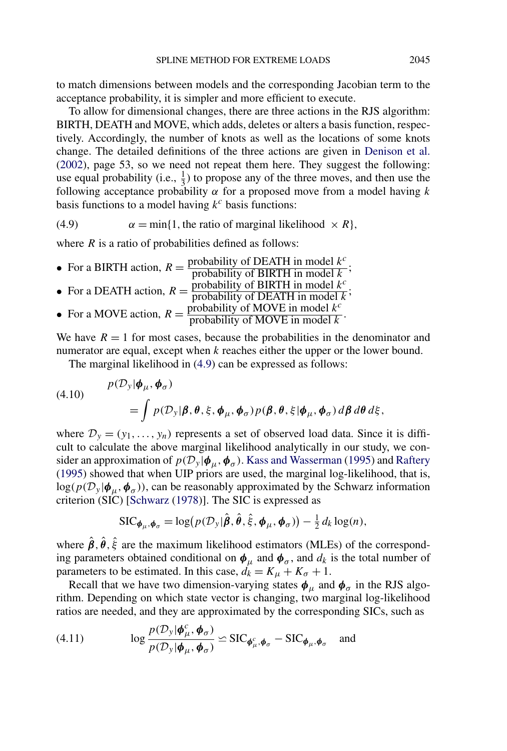<span id="page-11-0"></span>to match dimensions between models and the corresponding Jacobian term to the acceptance probability, it is simpler and more efficient to execute.

To allow for dimensional changes, there are three actions in the RJS algorithm: BIRTH, DEATH and MOVE, which adds, deletes or alters a basis function, respectively. Accordingly, the number of knots as well as the locations of some knots change. The detailed definitions of the three actions are given in [Denison et al.](#page-26-0) [\(2002\)](#page-26-0), page 53, so we need not repeat them here. They suggest the following: use equal probability (i.e.,  $\frac{1}{3}$ ) to propose any of the three moves, and then use the following acceptance probability  $\alpha$  for a proposed move from a model having  $k$ basis functions to a model having *k<sup>c</sup>* basis functions:

(4.9)  $\alpha = \min\{1, \text{ the ratio of marginal likelihood } \times R\},\$ 

where  $R$  is a ratio of probabilities defined as follows:

- For a BIRTH action,  $R = \frac{\text{probability of DEATH in model } k^c}{\text{probability of BIRTH in model } k}$ ;
- For a DEATH action,  $R = \frac{\text{probability of BIRTH in model } k^c}{\text{probability of DEATH in model } k}$ ;
- For a MOVE action,  $R = \frac{\text{probability of MOVE in model } k^c}{\text{probability of MOVE in model } k}$ .

We have  $R = 1$  for most cases, because the probabilities in the denominator and numerator are equal, except when *k* reaches either the upper or the lower bound.

The marginal likelihood in (4.9) can be expressed as follows:

(4.10) 
$$
p(\mathcal{D}_y | \phi_\mu, \phi_\sigma) = \int p(\mathcal{D}_y | \beta, \theta, \xi, \phi_\mu, \phi_\sigma) p(\beta, \theta, \xi | \phi_\mu, \phi_\sigma) d\beta d\theta d\xi,
$$

where  $\mathcal{D}_y = (y_1, \ldots, y_n)$  represents a set of observed load data. Since it is difficult to calculate the above marginal likelihood analytically in our study, we consider an approximation of  $p(\mathcal{D}_y|\phi_\mu, \phi_\sigma)$ . [Kass and Wasserman](#page-26-0) [\(1995\)](#page-26-0) and [Raftery](#page-27-0) [\(1995\)](#page-27-0) showed that when UIP priors are used, the marginal log-likelihood, that is,  $log(p(\mathcal{D}_y|\phi_\mu, \phi_\sigma))$ , can be reasonably approximated by the Schwarz information criterion (SIC) [\[Schwarz](#page-27-0) [\(1978\)](#page-27-0)]. The SIC is expressed as

$$
\mathrm{SIC}_{\pmb{\phi}_{\mu},\pmb{\phi}_{\sigma}} = \log(p(\mathcal{D}_{\mathcal{Y}}|\hat{\pmb{\beta}},\hat{\pmb{\theta}},\hat{\pmb{\xi}},\pmb{\phi}_{\mu},\pmb{\phi}_{\sigma})) - \frac{1}{2} d_k \log(n),
$$

where  $\hat{\boldsymbol{\beta}}$ ,  $\hat{\boldsymbol{\theta}}$ ,  $\hat{\boldsymbol{\xi}}$  are the maximum likelihood estimators (MLEs) of the corresponding parameters obtained conditional on  $\phi_\mu$  and  $\phi_\sigma$ , and  $d_k$  is the total number of parameters to be estimated. In this case,  $d_k = K_{\mu} + K_{\sigma} + 1$ .

Recall that we have two dimension-varying states  $\phi_{\mu}$  and  $\phi_{\sigma}$  in the RJS algorithm. Depending on which state vector is changing, two marginal log-likelihood ratios are needed, and they are approximated by the corresponding SICs, such as

(4.11) 
$$
\log \frac{p(D_y | \phi_{\mu}^c, \phi_{\sigma})}{p(D_y | \phi_{\mu}, \phi_{\sigma})} \simeq \text{SIC}_{\phi_{\mu}^c, \phi_{\sigma}} - \text{SIC}_{\phi_{\mu}, \phi_{\sigma}}
$$
 and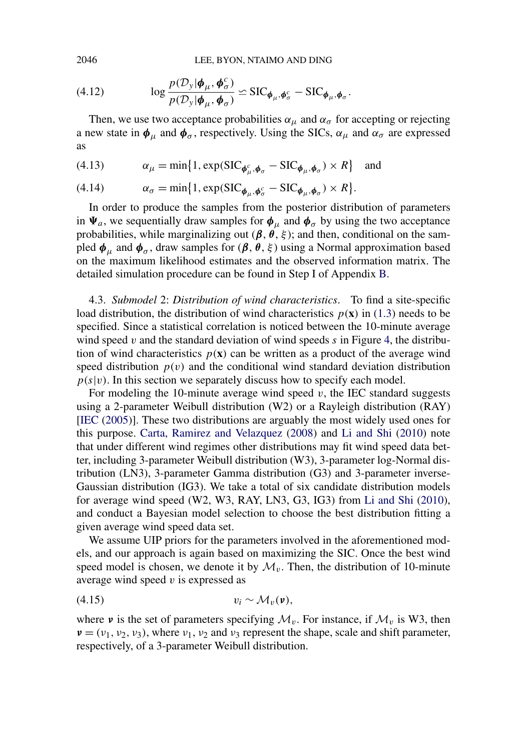(4.12) 
$$
\log \frac{p(D_y | \phi_\mu, \phi_\sigma^c)}{p(D_y | \phi_\mu, \phi_\sigma)} \simeq \text{SIC}_{\phi_\mu, \phi_\sigma^c} - \text{SIC}_{\phi_\mu, \phi_\sigma}.
$$

Then, we use two acceptance probabilities  $\alpha_{\mu}$  and  $\alpha_{\sigma}$  for accepting or rejecting a new state in  $\phi_\mu$  and  $\phi_\sigma$ , respectively. Using the SICs,  $\alpha_\mu$  and  $\alpha_\sigma$  are expressed as

(4.13)  $\alpha_{\mu} = \min\{1, \exp(\text{SIC}_{\phi_{\mu}^c}, \phi_{\sigma} - \text{SIC}_{\phi_{\mu}, \phi_{\sigma}}) \times R\}$  and

(4.14) 
$$
\alpha_{\sigma} = \min\{1, \exp(\text{SIC}_{\pmb{\phi}_{\mu}, \pmb{\phi}_{\sigma}^c} - \text{SIC}_{\pmb{\phi}_{\mu}, \pmb{\phi}_{\sigma}}) \times R\}.
$$

In order to produce the samples from the posterior distribution of parameters in  $\Psi_a$ , we sequentially draw samples for  $\phi_\mu$  and  $\phi_\sigma$  by using the two acceptance probabilities, while marginalizing out  $(\beta, \theta, \xi)$ ; and then, conditional on the sampled  $\phi_{\mu}$  and  $\phi_{\sigma}$ , draw samples for  $(\beta, \theta, \xi)$  using a Normal approximation based on the maximum likelihood estimates and the observed information matrix. The detailed simulation procedure can be found in Step I of Appendix [B.](#page-22-0)

4.3. *Submodel* 2: *Distribution of wind characteristics*. To find a site-specific load distribution, the distribution of wind characteristics  $p(\mathbf{x})$  in [\(1.3\)](#page-1-0) needs to be specified. Since a statistical correlation is noticed between the 10-minute average wind speed *v* and the standard deviation of wind speeds *s* in Figure [4,](#page-8-0) the distribution of wind characteristics  $p(\mathbf{x})$  can be written as a product of the average wind speed distribution  $p(v)$  and the conditional wind standard deviation distribution  $p(s|v)$ . In this section we separately discuss how to specify each model.

For modeling the 10-minute average wind speed  $v$ , the IEC standard suggests using a 2-parameter Weibull distribution (W2) or a Rayleigh distribution (RAY) [\[IEC](#page-26-0) [\(2005\)](#page-26-0)]. These two distributions are arguably the most widely used ones for this purpose. [Carta, Ramirez and Velazquez](#page-26-0) [\(2008\)](#page-26-0) and [Li and Shi](#page-26-0) [\(2010\)](#page-26-0) note that under different wind regimes other distributions may fit wind speed data better, including 3-parameter Weibull distribution (W3), 3-parameter log-Normal distribution (LN3), 3-parameter Gamma distribution (G3) and 3-parameter inverse-Gaussian distribution (IG3). We take a total of six candidate distribution models for average wind speed (W2, W3, RAY, LN3, G3, IG3) from [Li and Shi](#page-26-0) [\(2010\)](#page-26-0), and conduct a Bayesian model selection to choose the best distribution fitting a given average wind speed data set.

We assume UIP priors for the parameters involved in the aforementioned models, and our approach is again based on maximizing the SIC. Once the best wind speed model is chosen, we denote it by  $\mathcal{M}_{\nu}$ . Then, the distribution of 10-minute average wind speed *v* is expressed as

$$
(4.15) \t v_i \sim \mathcal{M}_v(\mathfrak{v}),
$$

where *v* is the set of parameters specifying  $\mathcal{M}_v$ . For instance, if  $\mathcal{M}_v$  is W3, then  $\mathbf{v} = (v_1, v_2, v_3)$ , where  $v_1, v_2$  and  $v_3$  represent the shape, scale and shift parameter, respectively, of a 3-parameter Weibull distribution.

<span id="page-12-0"></span>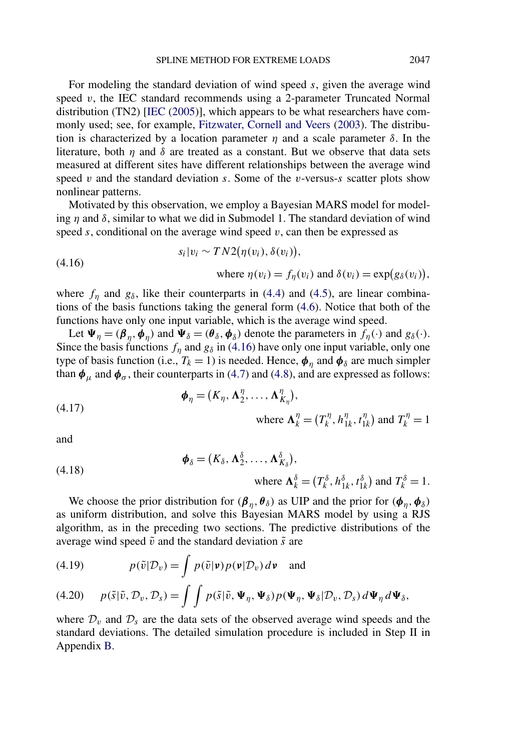<span id="page-13-0"></span>For modeling the standard deviation of wind speed *s*, given the average wind speed *v*, the IEC standard recommends using a 2-parameter Truncated Normal distribution (TN2) [\[IEC](#page-26-0) [\(2005\)](#page-26-0)], which appears to be what researchers have commonly used; see, for example, [Fitzwater, Cornell and Veers](#page-26-0) [\(2003\)](#page-26-0). The distribution is characterized by a location parameter *η* and a scale parameter *δ*. In the literature, both  $\eta$  and  $\delta$  are treated as a constant. But we observe that data sets measured at different sites have different relationships between the average wind speed *v* and the standard deviation *s*. Some of the *v*-versus-*s* scatter plots show nonlinear patterns.

Motivated by this observation, we employ a Bayesian MARS model for modeling *η* and *δ*, similar to what we did in Submodel 1. The standard deviation of wind speed *s*, conditional on the average wind speed *v*, can then be expressed as

(4.16) 
$$
s_i|v_i \sim TN2(\eta(v_i), \delta(v_i)),
$$
  
where  $\eta(v_i) = f_\eta(v_i)$  and  $\delta(v_i) = \exp(g_\delta(v_i)),$ 

where  $f_\eta$  and  $g_\delta$ , like their counterparts in [\(4.4\)](#page-9-0) and [\(4.5\)](#page-9-0), are linear combinations of the basis functions taking the general form [\(4.6\)](#page-9-0). Notice that both of the functions have only one input variable, which is the average wind speed.

Let  $\Psi_{\eta} = (\beta_{\eta}, \phi_{\eta})$  and  $\Psi_{\delta} = (\theta_{\delta}, \phi_{\delta})$  denote the parameters in  $f_{\eta}(\cdot)$  and  $g_{\delta}(\cdot)$ . Since the basis functions  $f_\eta$  and  $g_\delta$  in (4.16) have only one input variable, only one type of basis function (i.e.,  $T_k = 1$ ) is needed. Hence,  $\phi_n$  and  $\phi_\delta$  are much simpler than  $\phi_{\mu}$  and  $\phi_{\sigma}$ , their counterparts in [\(4.7\)](#page-10-0) and [\(4.8\)](#page-10-0), and are expressed as follows:

(4.17) 
$$
\boldsymbol{\phi}_{\eta} = (K_{\eta}, \boldsymbol{\Lambda}_{2}^{\eta}, \dots, \boldsymbol{\Lambda}_{K_{\eta}}^{\eta}),
$$
  
where 
$$
\boldsymbol{\Lambda}_{k}^{\eta} = (T_{k}^{\eta}, h_{1k}^{\eta}, t_{1k}^{\eta}) \text{ and } T_{k}^{\eta} = 1
$$

and

(4.18) 
$$
\boldsymbol{\phi}_{\delta} = (K_{\delta}, \boldsymbol{\Lambda}_{2}^{\delta}, \dots, \boldsymbol{\Lambda}_{K_{\delta}}^{\delta}),
$$
  
where 
$$
\boldsymbol{\Lambda}_{k}^{\delta} = (T_{k}^{\delta}, h_{1k}^{\delta}, t_{1k}^{\delta}) \text{ and } T_{k}^{\delta} = 1.
$$

We choose the prior distribution for  $(\beta_n, \theta_\delta)$  as UIP and the prior for  $(\phi_n, \phi_\delta)$ as uniform distribution, and solve this Bayesian MARS model by using a RJS algorithm, as in the preceding two sections. The predictive distributions of the average wind speed  $\tilde{v}$  and the standard deviation  $\tilde{s}$  are

(4.19) 
$$
p(\tilde{v}|\mathcal{D}_v) = \int p(\tilde{v}|\mathbf{v})p(\mathbf{v}|\mathcal{D}_v) d\mathbf{v} \text{ and}
$$

(4.20) 
$$
p(\tilde{s}|\tilde{v}, \mathcal{D}_v, \mathcal{D}_s) = \int \int p(\tilde{s}|\tilde{v}, \Psi_{\eta}, \Psi_{\delta}) p(\Psi_{\eta}, \Psi_{\delta} | \mathcal{D}_v, \mathcal{D}_s) d\Psi_{\eta} d\Psi_{\delta},
$$

where  $\mathcal{D}_v$  and  $\mathcal{D}_s$  are the data sets of the observed average wind speeds and the standard deviations. The detailed simulation procedure is included in Step II in Appendix [B.](#page-22-0)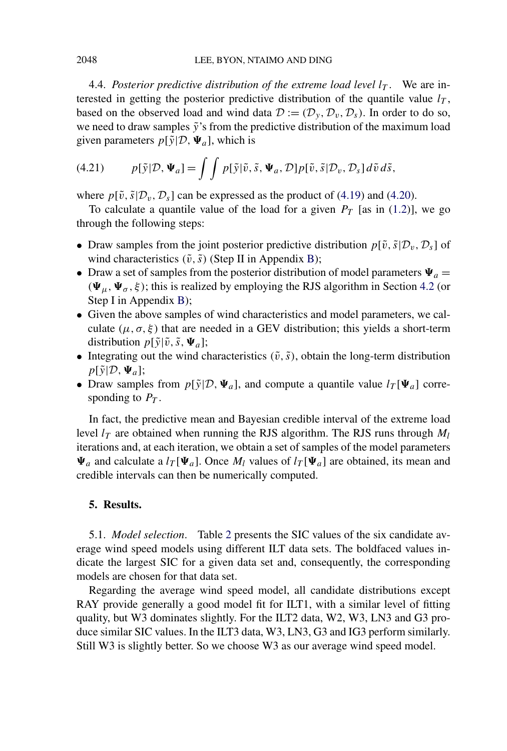<span id="page-14-0"></span>4.4. *Posterior predictive distribution of the extreme load level*  $l<sub>T</sub>$ . We are interested in getting the posterior predictive distribution of the quantile value  $l_T$ , based on the observed load and wind data  $\mathcal{D} := (\mathcal{D}_{v}, \mathcal{D}_{v}, \mathcal{D}_{s})$ . In order to do so, we need to draw samples  $\tilde{y}$ 's from the predictive distribution of the maximum load given parameters  $p[\tilde{y}|\mathcal{D}, \Psi_a]$ , which is

(4.21) 
$$
p[\tilde{y}|\mathcal{D}, \Psi_a] = \int \int p[\tilde{y}|\tilde{v}, \tilde{s}, \Psi_a, \mathcal{D}] p[\tilde{v}, \tilde{s}|\mathcal{D}_v, \mathcal{D}_s] d\tilde{v} d\tilde{s},
$$

where  $p[\tilde{v}, \tilde{s} | \mathcal{D}_v, \mathcal{D}_s]$  can be expressed as the product of [\(4.19\)](#page-13-0) and [\(4.20\)](#page-13-0).

To calculate a quantile value of the load for a given  $P_T$  [as in [\(1.2\)](#page-1-0)], we go through the following steps:

- Draw samples from the joint posterior predictive distribution  $p[\tilde{v}, \tilde{s} | \mathcal{D}_v, \mathcal{D}_s]$  of wind characteristics  $(\tilde{v}, \tilde{s})$  (Step II in Appendix [B\)](#page-22-0);
- Draw a set of samples from the posterior distribution of model parameters  $\Psi_a$  =  $(\Psi_{\mu}, \Psi_{\sigma}, \xi)$ ; this is realized by employing the RJS algorithm in Section [4.2](#page-10-0) (or Step I in Appendix [B\)](#page-22-0);
- Given the above samples of wind characteristics and model parameters, we calculate  $(\mu, \sigma, \xi)$  that are needed in a GEV distribution; this yields a short-term distribution  $p[\tilde{y}|\tilde{v}, \tilde{s}, \Psi_a]$ ;
- Integrating out the wind characteristics  $(\tilde{v}, \tilde{s})$ , obtain the long-term distribution  $p[\tilde{y}|\mathcal{D}, \Psi_a];$
- Draw samples from  $p[\tilde{y}|\mathcal{D}, \Psi_a]$ , and compute a quantile value  $l_T[\Psi_a]$  corresponding to  $P_T$ .

In fact, the predictive mean and Bayesian credible interval of the extreme load level  $l_T$  are obtained when running the RJS algorithm. The RJS runs through  $M_l$ iterations and, at each iteration, we obtain a set of samples of the model parameters  $\Psi_a$  and calculate a *l<sub>T</sub>* [ $\Psi_a$ ]. Once *M<sub>l</sub>* values of *l<sub>T</sub>* [ $\Psi_a$ ] are obtained, its mean and credible intervals can then be numerically computed.

### **5. Results.**

5.1. *Model selection*. Table [2](#page-15-0) presents the SIC values of the six candidate average wind speed models using different ILT data sets. The boldfaced values indicate the largest SIC for a given data set and, consequently, the corresponding models are chosen for that data set.

Regarding the average wind speed model, all candidate distributions except RAY provide generally a good model fit for ILT1, with a similar level of fitting quality, but W3 dominates slightly. For the ILT2 data, W2, W3, LN3 and G3 produce similar SIC values. In the ILT3 data, W3, LN3, G3 and IG3 perform similarly. Still W3 is slightly better. So we choose W3 as our average wind speed model.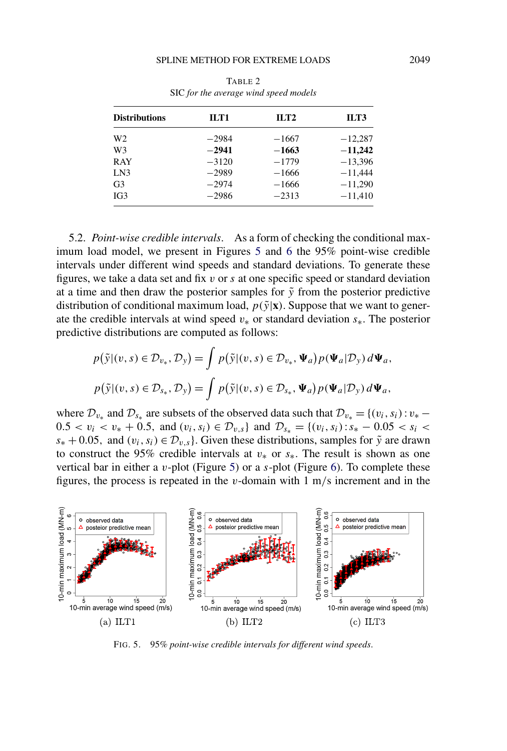#### SPLINE METHOD FOR EXTREME LOADS 2049

<span id="page-15-0"></span>

| <b>Distributions</b> | $\Pi$ T <sub>1</sub> | $\Pi$ T <sub>2</sub> | ILT3      |  |
|----------------------|----------------------|----------------------|-----------|--|
| W <sub>2</sub>       | $-2984$              | $-1667$              | $-12,287$ |  |
| W <sub>3</sub>       | $-2941$              | $-1663$              | $-11,242$ |  |
| <b>RAY</b>           | $-3120$              | $-1779$              | $-13,396$ |  |
| LN3                  | $-2989$              | $-1666$              | $-11,444$ |  |
| G3                   | $-2974$              | $-1666$              | $-11,290$ |  |
| IG3                  | $-2986$              | $-2313$              | $-11,410$ |  |
|                      |                      |                      |           |  |

TABLE 2 SIC *for the average wind speed models*

5.2. *Point-wise credible intervals*. As a form of checking the conditional maximum load model, we present in Figures 5 and [6](#page-16-0) the 95% point-wise credible intervals under different wind speeds and standard deviations. To generate these figures, we take a data set and fix *v* or *s* at one specific speed or standard deviation at a time and then draw the posterior samples for  $\tilde{y}$  from the posterior predictive distribution of conditional maximum load,  $p(\tilde{y}|\mathbf{x})$ . Suppose that we want to generate the credible intervals at wind speed *v*∗ or standard deviation *s*∗. The posterior predictive distributions are computed as follows:

$$
p(\tilde{y} | (v, s) \in \mathcal{D}_{v_*}, \mathcal{D}_y) = \int p(\tilde{y} | (v, s) \in \mathcal{D}_{v_*}, \Psi_a) p(\Psi_a | \mathcal{D}_y) d\Psi_a,
$$
  

$$
p(\tilde{y} | (v, s) \in \mathcal{D}_{s_*}, \mathcal{D}_y) = \int p(\tilde{y} | (v, s) \in \mathcal{D}_{s_*}, \Psi_a) p(\Psi_a | \mathcal{D}_y) d\Psi_a,
$$

where  $\mathcal{D}_{v_{*}}$  and  $\mathcal{D}_{s_{*}}$  are subsets of the observed data such that  $\mathcal{D}_{v_{*}} = \{(v_{i}, s_{i}) : v_{*} 0.5 < v_i < v_* + 0.5$ , and  $(v_i, s_i) \in \mathcal{D}_{v,s}$  and  $\mathcal{D}_{s_*} = \{(v_i, s_i) : s_* - 0.05 < s_i <$ *s*<sup>∗</sup> + 0.05, and  $(v_i, s_i)$  ∈  $\mathcal{D}_{v,s}$ . Given these distributions, samples for  $\tilde{y}$  are drawn to construct the 95% credible intervals at  $v_*$  or  $s_*$ . The result is shown as one vertical bar in either a *v*-plot (Figure 5) or a *s*-plot (Figure [6\)](#page-16-0). To complete these figures, the process is repeated in the *v*-domain with 1 m*/*s increment and in the



FIG. 5. 95*% point-wise credible intervals for different wind speeds*.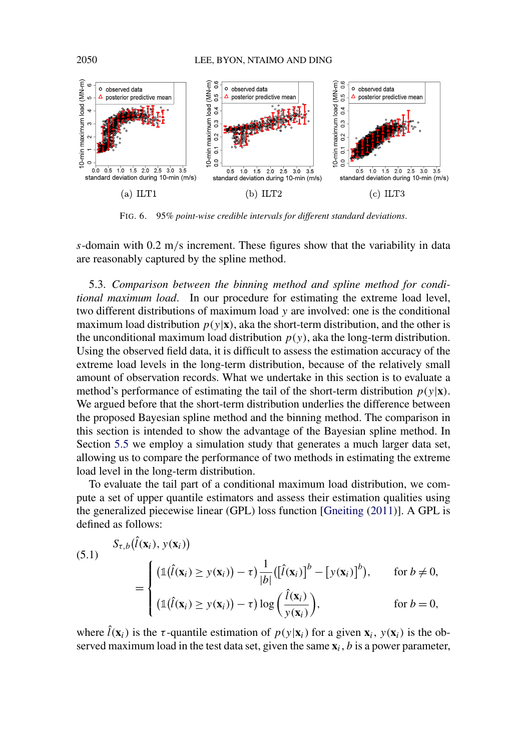<span id="page-16-0"></span>

FIG. 6. 95*% point-wise credible intervals for different standard deviations*.

*s*-domain with 0.2 m*/*s increment. These figures show that the variability in data are reasonably captured by the spline method.

5.3. *Comparison between the binning method and spline method for conditional maximum load*. In our procedure for estimating the extreme load level, two different distributions of maximum load *y* are involved: one is the conditional maximum load distribution  $p(y|\mathbf{x})$ , aka the short-term distribution, and the other is the unconditional maximum load distribution  $p(y)$ , aka the long-term distribution. Using the observed field data, it is difficult to assess the estimation accuracy of the extreme load levels in the long-term distribution, because of the relatively small amount of observation records. What we undertake in this section is to evaluate a method's performance of estimating the tail of the short-term distribution  $p(y|\mathbf{x})$ . We argued before that the short-term distribution underlies the difference between the proposed Bayesian spline method and the binning method. The comparison in this section is intended to show the advantage of the Bayesian spline method. In Section [5.5](#page-20-0) we employ a simulation study that generates a much larger data set, allowing us to compare the performance of two methods in estimating the extreme load level in the long-term distribution.

To evaluate the tail part of a conditional maximum load distribution, we compute a set of upper quantile estimators and assess their estimation qualities using the generalized piecewise linear (GPL) loss function [\[Gneiting](#page-26-0) [\(2011\)](#page-26-0)]. A GPL is defined as follows:

(5.1) 
$$
S_{\tau,b}(\hat{l}(\mathbf{x}_i), y(\mathbf{x}_i)) = \begin{cases} (\mathbb{1}(\hat{l}(\mathbf{x}_i) \ge y(\mathbf{x}_i)) - \tau) \frac{1}{|b|} ([\hat{l}(\mathbf{x}_i)]^b - [y(\mathbf{x}_i)]^b), & \text{for } b \ne 0, \\ (\mathbb{1}(\hat{l}(\mathbf{x}_i) \ge y(\mathbf{x}_i)) - \tau) \log \left(\frac{\hat{l}(\mathbf{x}_i)}{y(\mathbf{x}_i)}\right), & \text{for } b = 0, \end{cases}
$$

where  $\hat{l}(\mathbf{x}_i)$  is the *τ*-quantile estimation of  $p(y|\mathbf{x}_i)$  for a given  $\mathbf{x}_i$ ,  $y(\mathbf{x}_i)$  is the observed maximum load in the test data set, given the same  $\mathbf{x}_i$ , *b* is a power parameter,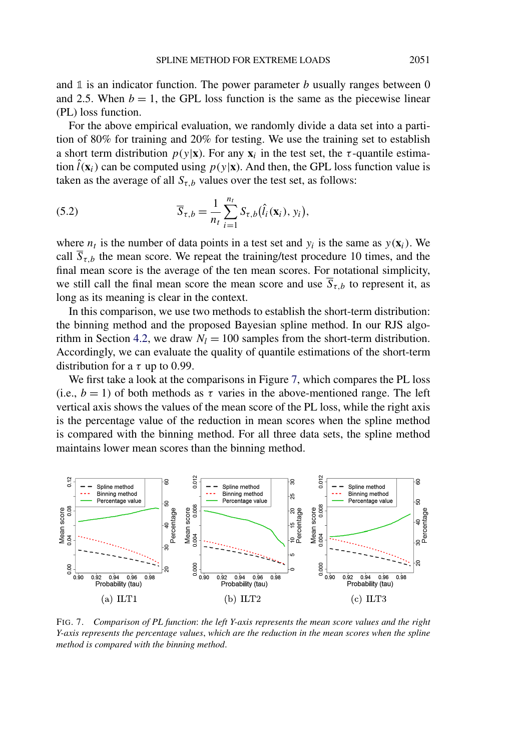<span id="page-17-0"></span>and  $\mathbb{1}$  is an indicator function. The power parameter *b* usually ranges between 0 and 2.5. When  $b = 1$ , the GPL loss function is the same as the piecewise linear (PL) loss function.

For the above empirical evaluation, we randomly divide a data set into a partition of 80% for training and 20% for testing. We use the training set to establish a short term distribution  $p(y|\mathbf{x})$ . For any  $\mathbf{x}_i$  in the test set, the  $\tau$ -quantile estimation  $\hat{l}(\mathbf{x}_i)$  can be computed using  $p(y|\mathbf{x})$ . And then, the GPL loss function value is taken as the average of all  $S_{\tau,b}$  values over the test set, as follows:

(5.2) 
$$
\overline{S}_{\tau,b} = \frac{1}{n_t} \sum_{i=1}^{n_t} S_{\tau,b}(\hat{l}_i(\mathbf{x}_i), y_i),
$$

where  $n_t$  is the number of data points in a test set and  $y_i$  is the same as  $y(\mathbf{x}_i)$ . We call  $\overline{S}_{\tau,b}$  the mean score. We repeat the training/test procedure 10 times, and the final mean score is the average of the ten mean scores. For notational simplicity, we still call the final mean score the mean score and use  $\overline{S}_{\tau,b}$  to represent it, as long as its meaning is clear in the context.

In this comparison, we use two methods to establish the short-term distribution: the binning method and the proposed Bayesian spline method. In our RJS algo-rithm in Section [4.2,](#page-10-0) we draw  $N_l = 100$  samples from the short-term distribution. Accordingly, we can evaluate the quality of quantile estimations of the short-term distribution for a *τ* up to 0*.*99.

We first take a look at the comparisons in Figure 7, which compares the PL loss (i.e.,  $b = 1$ ) of both methods as  $\tau$  varies in the above-mentioned range. The left vertical axis shows the values of the mean score of the PL loss, while the right axis is the percentage value of the reduction in mean scores when the spline method is compared with the binning method. For all three data sets, the spline method maintains lower mean scores than the binning method.



FIG. 7. *Comparison of PL function*: *the left Y-axis represents the mean score values and the right Y-axis represents the percentage values*, *which are the reduction in the mean scores when the spline method is compared with the binning method*.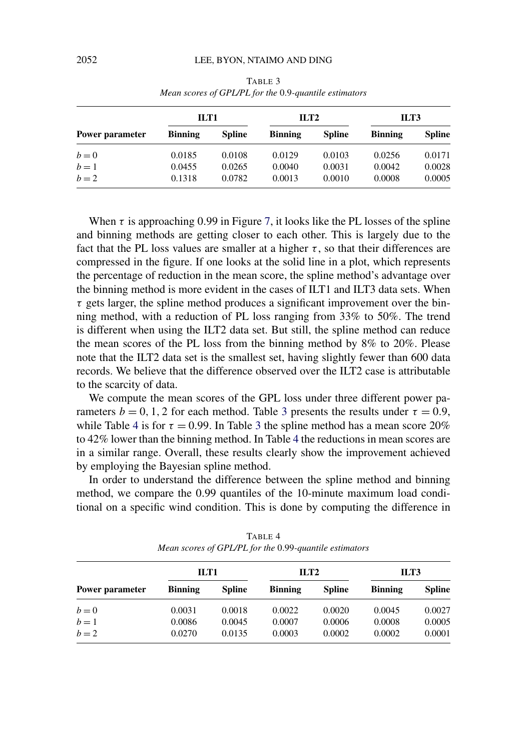|                 | ILT1           |               | $\Pi$ T <sub>2</sub> |               | <b>ILT3</b>    |               |
|-----------------|----------------|---------------|----------------------|---------------|----------------|---------------|
| Power parameter | <b>Binning</b> | <b>Spline</b> | <b>Binning</b>       | <b>Spline</b> | <b>Binning</b> | <b>Spline</b> |
| $b=0$           | 0.0185         | 0.0108        | 0.0129               | 0.0103        | 0.0256         | 0.0171        |
| $b=1$           | 0.0455         | 0.0265        | 0.0040               | 0.0031        | 0.0042         | 0.0028        |
| $b=2$           | 0.1318         | 0.0782        | 0.0013               | 0.0010        | 0.0008         | 0.0005        |

| TABLE 3                                               |
|-------------------------------------------------------|
| Mean scores of GPL/PL for the 0.9-quantile estimators |

When  $\tau$  is approaching 0.99 in Figure [7,](#page-17-0) it looks like the PL losses of the spline and binning methods are getting closer to each other. This is largely due to the fact that the PL loss values are smaller at a higher  $\tau$ , so that their differences are compressed in the figure. If one looks at the solid line in a plot, which represents the percentage of reduction in the mean score, the spline method's advantage over the binning method is more evident in the cases of ILT1 and ILT3 data sets. When *τ* gets larger, the spline method produces a significant improvement over the binning method, with a reduction of PL loss ranging from 33% to 50%. The trend is different when using the ILT2 data set. But still, the spline method can reduce the mean scores of the PL loss from the binning method by 8% to 20%. Please note that the ILT2 data set is the smallest set, having slightly fewer than 600 data records. We believe that the difference observed over the ILT2 case is attributable to the scarcity of data.

We compute the mean scores of the GPL loss under three different power parameters  $b = 0, 1, 2$  for each method. Table 3 presents the results under  $\tau = 0.9$ , while Table 4 is for  $\tau = 0.99$ . In Table 3 the spline method has a mean score 20% to 42% lower than the binning method. In Table 4 the reductions in mean scores are in a similar range. Overall, these results clearly show the improvement achieved by employing the Bayesian spline method.

In order to understand the difference between the spline method and binning method, we compare the 0*.*99 quantiles of the 10-minute maximum load conditional on a specific wind condition. This is done by computing the difference in

|                 | <b>ILT1</b>    |               | $\mathbf{H} \mathbf{T} \mathbf{2}$ |               | <b>ILT3</b>    |               |
|-----------------|----------------|---------------|------------------------------------|---------------|----------------|---------------|
| Power parameter | <b>Binning</b> | <b>Spline</b> | <b>Binning</b>                     | <b>Spline</b> | <b>Binning</b> | <b>Spline</b> |
| $b=0$           | 0.0031         | 0.0018        | 0.0022                             | 0.0020        | 0.0045         | 0.0027        |
| $b=1$           | 0.0086         | 0.0045        | 0.0007                             | 0.0006        | 0.0008         | 0.0005        |
| $b=2$           | 0.0270         | 0.0135        | 0.0003                             | 0.0002        | 0.0002         | 0.0001        |

TABLE 4 *Mean scores of GPL/PL for the* 0*.*99*-quantile estimators*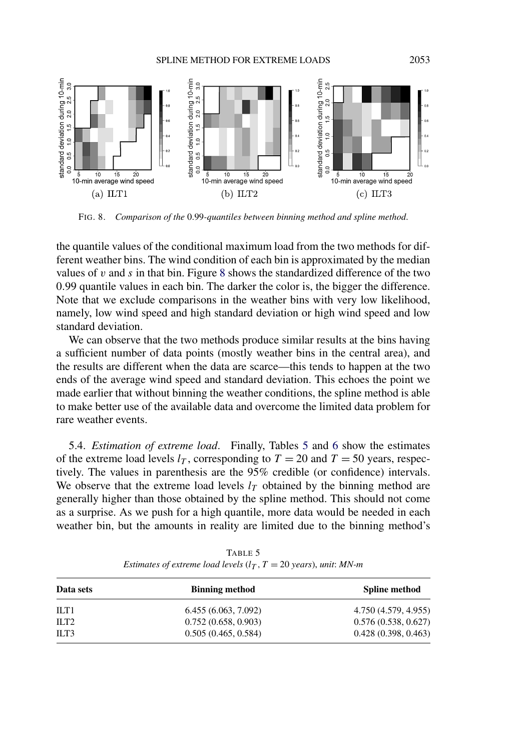SPLINE METHOD FOR EXTREME LOADS 2053

<span id="page-19-0"></span>

FIG. 8. *Comparison of the* 0*.*99*-quantiles between binning method and spline method*.

the quantile values of the conditional maximum load from the two methods for different weather bins. The wind condition of each bin is approximated by the median values of *v* and *s* in that bin. Figure 8 shows the standardized difference of the two 0*.*99 quantile values in each bin. The darker the color is, the bigger the difference. Note that we exclude comparisons in the weather bins with very low likelihood, namely, low wind speed and high standard deviation or high wind speed and low standard deviation.

We can observe that the two methods produce similar results at the bins having a sufficient number of data points (mostly weather bins in the central area), and the results are different when the data are scarce—this tends to happen at the two ends of the average wind speed and standard deviation. This echoes the point we made earlier that without binning the weather conditions, the spline method is able to make better use of the available data and overcome the limited data problem for rare weather events.

5.4. *Estimation of extreme load*. Finally, Tables 5 and [6](#page-20-0) show the estimates of the extreme load levels  $l_T$ , corresponding to  $T = 20$  and  $T = 50$  years, respectively. The values in parenthesis are the 95% credible (or confidence) intervals. We observe that the extreme load levels  $l_T$  obtained by the binning method are generally higher than those obtained by the spline method. This should not come as a surprise. As we push for a high quantile, more data would be needed in each weather bin, but the amounts in reality are limited due to the binning method's

| Data sets        | <b>Binning method</b> | Spline method        |  |
|------------------|-----------------------|----------------------|--|
| ILT <sub>1</sub> | 6.455(6.063, 7.092)   | 4.750 (4.579, 4.955) |  |
| ILT <sub>2</sub> | 0.752(0.658, 0.903)   | 0.576(0.538, 0.627)  |  |
| ILT <sub>3</sub> | 0.505(0.465, 0.584)   | 0.428(0.398, 0.463)  |  |

TABLE 5 *Estimates of extreme load levels*  $(l_T, T = 20$  *years*), *unit: MN-m*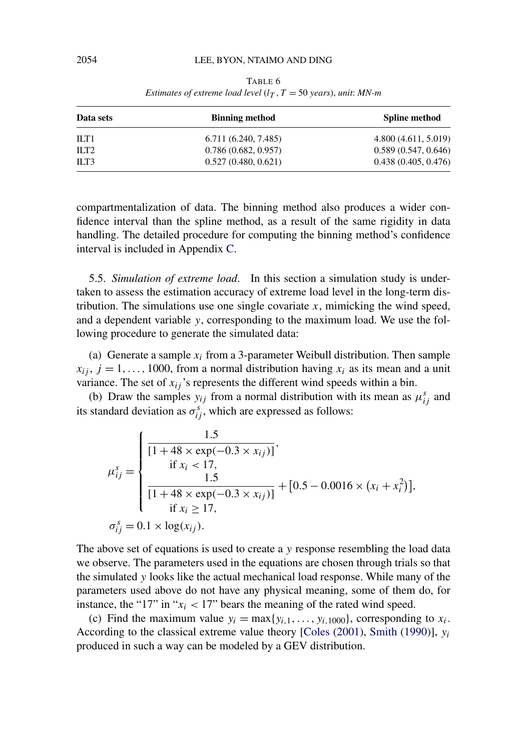<span id="page-20-0"></span>

| Data sets | <b>Binning method</b> | Spline method        |  |
|-----------|-----------------------|----------------------|--|
| H.T1      | 6.711(6.240, 7.485)   | 4.800 (4.611, 5.019) |  |
| $\Pi T2$  | 0.786(0.682, 0.957)   | 0.589(0.547, 0.646)  |  |
| ILT3      | 0.527(0.480, 0.621)   | 0.438(0.405, 0.476)  |  |

TABLE 6 *Estimates of extreme load level*  $(l_T, T = 50$  *years*), *unit: MN-m* 

compartmentalization of data. The binning method also produces a wider confidence interval than the spline method, as a result of the same rigidity in data handling. The detailed procedure for computing the binning method's confidence interval is included in Appendix [C.](#page-25-0)

5.5. *Simulation of extreme load*. In this section a simulation study is undertaken to assess the estimation accuracy of extreme load level in the long-term distribution. The simulations use one single covariate  $x$ , mimicking the wind speed, and a dependent variable *y*, corresponding to the maximum load. We use the following procedure to generate the simulated data:

(a) Generate a sample *xi* from a 3-parameter Weibull distribution. Then sample  $x_{ij}$ ,  $j = 1, \ldots, 1000$ , from a normal distribution having  $x_i$  as its mean and a unit variance. The set of  $x_{ij}$ 's represents the different wind speeds within a bin.

(b) Draw the samples  $y_{ij}$  from a normal distribution with its mean as  $\mu_{ij}^s$  and its standard deviation as  $\sigma_{ij}^s$ , which are expressed as follows:

$$
\mu_{ij}^{s} = \begin{cases}\n\frac{1.5}{[1 + 48 \times \exp(-0.3 \times x_{ij})]},\\ \text{if } x_i < 17,\\ \frac{1.5}{[1 + 48 \times \exp(-0.3 \times x_{ij})]} + [0.5 - 0.0016 \times (x_i + x_i^2)],\\ \text{if } x_i \ge 17,\\ \sigma_{ij}^{s} = 0.1 \times \log(x_{ij}).\n\end{cases}
$$

The above set of equations is used to create a *y* response resembling the load data we observe. The parameters used in the equations are chosen through trials so that the simulated *y* looks like the actual mechanical load response. While many of the parameters used above do not have any physical meaning, some of them do, for instance, the "17" in " $x_i$  < 17" bears the meaning of the rated wind speed.

(c) Find the maximum value  $y_i = \max\{y_{i,1}, \ldots, y_{i,1000}\}$ , corresponding to  $x_i$ . According to the classical extreme value theory [\[Coles](#page-26-0) [\(2001\)](#page-26-0), [Smith](#page-27-0) [\(1990\)](#page-27-0)], *yi* produced in such a way can be modeled by a GEV distribution.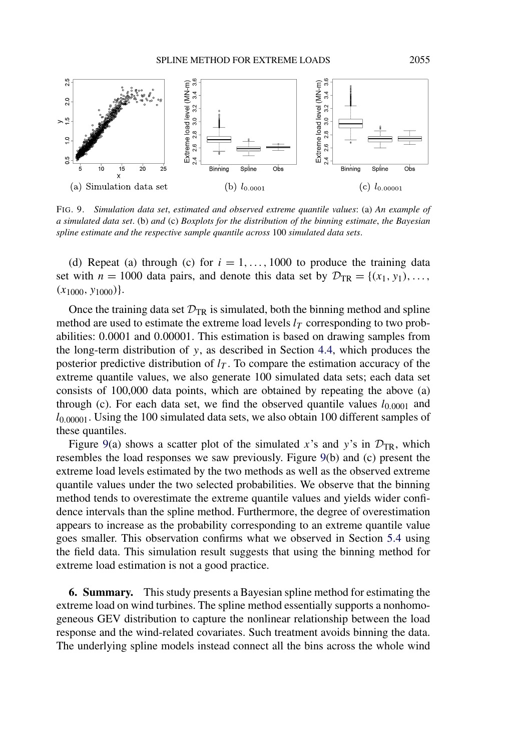<span id="page-21-0"></span>

FIG. 9. *Simulation data set*, *estimated and observed extreme quantile values*: (a) *An example of a simulated data set*. (b) *and* (c) *Boxplots for the distribution of the binning estimate*, *the Bayesian spline estimate and the respective sample quantile across* 100 *simulated data sets*.

(d) Repeat (a) through (c) for  $i = 1, \ldots, 1000$  to produce the training data set with  $n = 1000$  data pairs, and denote this data set by  $\mathcal{D}_{TR} = \{(x_1, y_1), \ldots,$  $(x_{1000}, y_{1000})$ .

Once the training data set  $\mathcal{D}_{TR}$  is simulated, both the binning method and spline method are used to estimate the extreme load levels  $l_T$  corresponding to two probabilities: 0*.*0001 and 0*.*00001. This estimation is based on drawing samples from the long-term distribution of *y*, as described in Section [4.4,](#page-14-0) which produces the posterior predictive distribution of  $l<sub>T</sub>$ . To compare the estimation accuracy of the extreme quantile values, we also generate 100 simulated data sets; each data set consists of 100,000 data points, which are obtained by repeating the above (a) through (c). For each data set, we find the observed quantile values  $l_{0.0001}$  and *l*0*.*00001. Using the 100 simulated data sets, we also obtain 100 different samples of these quantiles.

Figure 9(a) shows a scatter plot of the simulated *x*'s and *y*'s in  $D_{TR}$ , which resembles the load responses we saw previously. Figure 9(b) and (c) present the extreme load levels estimated by the two methods as well as the observed extreme quantile values under the two selected probabilities. We observe that the binning method tends to overestimate the extreme quantile values and yields wider confidence intervals than the spline method. Furthermore, the degree of overestimation appears to increase as the probability corresponding to an extreme quantile value goes smaller. This observation confirms what we observed in Section [5.4](#page-19-0) using the field data. This simulation result suggests that using the binning method for extreme load estimation is not a good practice.

**6. Summary.** This study presents a Bayesian spline method for estimating the extreme load on wind turbines. The spline method essentially supports a nonhomogeneous GEV distribution to capture the nonlinear relationship between the load response and the wind-related covariates. Such treatment avoids binning the data. The underlying spline models instead connect all the bins across the whole wind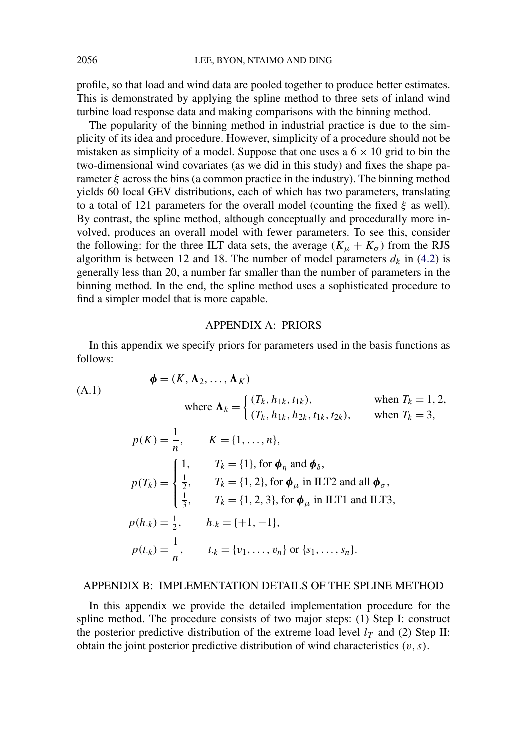profile, so that load and wind data are pooled together to produce better estimates. This is demonstrated by applying the spline method to three sets of inland wind turbine load response data and making comparisons with the binning method.

The popularity of the binning method in industrial practice is due to the simplicity of its idea and procedure. However, simplicity of a procedure should not be mistaken as simplicity of a model. Suppose that one uses a  $6 \times 10$  grid to bin the two-dimensional wind covariates (as we did in this study) and fixes the shape parameter *ξ* across the bins (a common practice in the industry). The binning method yields 60 local GEV distributions, each of which has two parameters, translating to a total of 121 parameters for the overall model (counting the fixed *ξ* as well). By contrast, the spline method, although conceptually and procedurally more involved, produces an overall model with fewer parameters. To see this, consider the following: for the three ILT data sets, the average  $(K_{\mu} + K_{\sigma})$  from the RJS algorithm is between 12 and 18. The number of model parameters  $d_k$  in [\(4.2\)](#page-11-0) is generally less than 20, a number far smaller than the number of parameters in the binning method. In the end, the spline method uses a sophisticated procedure to find a simpler model that is more capable.

### APPENDIX A: PRIORS

In this appendix we specify priors for parameters used in the basis functions as follows:

 $\boldsymbol{\phi} = (K, \boldsymbol{\Lambda}_2, \dots, \boldsymbol{\Lambda}_K)$ (A.1) where  $\Lambda_k = \begin{cases} (T_k, h_{1k}, t_{1k}), & \text{when } T_k = 1, 2, \\ (T_k, h_{1k}, t_{1k}), & \text{when } T_k = 2, \end{cases}$  $(T_k, h_{1k}, h_{2k}, t_{1k}, t_{2k}),$  when  $T_k = 3$ ,  $p(K) = \frac{1}{n}, \qquad K = \{1, \ldots, n\},\$  $p(T_k) =$  $\sqrt{ }$  $\int$  $\overline{\mathcal{L}}$ 1,  $T_k = \{1\}$ , for  $\phi_\eta$  and  $\phi_\delta$ ,  $T_k = \{1, 2\}$ , for  $\phi_\mu$  in ILT2 and all  $\phi_\sigma$ ,  $T_k = \{1, 2, 3\}$ , for  $\phi_\mu$  in ILT1 and ILT3,  $p(h_{.k}) = \frac{1}{2}, \qquad h_{.k} = \{+1, -1\},\$  $p(t_k) = \frac{1}{n}, \qquad t_k = \{v_1, \ldots, v_n\} \text{ or } \{s_1, \ldots, s_n\}.$ 

#### APPENDIX B: IMPLEMENTATION DETAILS OF THE SPLINE METHOD

In this appendix we provide the detailed implementation procedure for the spline method. The procedure consists of two major steps: (1) Step I: construct the posterior predictive distribution of the extreme load level  $l_T$  and (2) Step II: obtain the joint posterior predictive distribution of wind characteristics *(v,s)*.

<span id="page-22-0"></span>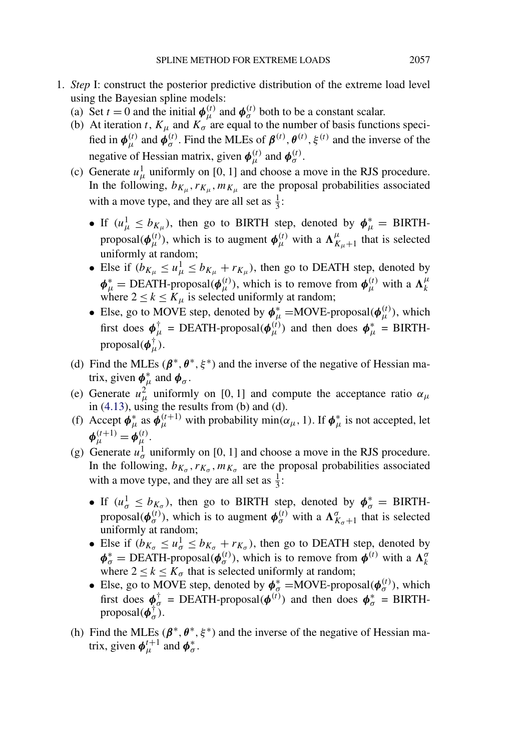- 1. *Step* I: construct the posterior predictive distribution of the extreme load level using the Bayesian spline models:
	- (a) Set  $t = 0$  and the initial  $\phi_{\mu}^{(t)}$  and  $\phi_{\sigma}^{(t)}$  both to be a constant scalar.
	- (b) At iteration *t*,  $K_{\mu}$  and  $K_{\sigma}$  are equal to the number of basis functions specified in  $\phi_{\mu}^{(t)}$  and  $\phi_{\sigma}^{(t)}$ . Find the MLEs of  $\beta^{(t)}$ ,  $\theta^{(t)}$ ,  $\xi^{(t)}$  and the inverse of the negative of Hessian matrix, given  $\phi_{\mu}^{(t)}$  and  $\phi_{\sigma}^{(t)}$ .
	- (c) Generate  $u^1_\mu$  uniformly on [0, 1] and choose a move in the RJS procedure. In the following,  $b_{K_\mu}, r_{K_\mu}, m_{K_\mu}$  are the proposal probabilities associated with a move type, and they are all set as  $\frac{1}{3}$ :
		- If  $(u^1_\mu \leq b_{K_\mu})$ , then go to BIRTH step, denoted by  $\phi^*_{\mu} =$  BIRTHproposal( $\phi_{\mu}^{(t)}$ ), which is to augment  $\phi_{\mu}^{(t)}$  with a  $\Lambda_{K_{\mu}+1}^{\mu}$  that is selected uniformly at random;
		- Else if  $(b_{K_\mu} \le u_\mu^1 \le b_{K_\mu} + r_{K_\mu})$ , then go to DEATH step, denoted by  $\phi_{\mu}^* = \text{DEATH-proposal}(\phi_{\mu}^{(t)})$ , which is to remove from  $\phi_{\mu}^{(t)}$  with a  $\Lambda_k^{\mu}$ where  $2 \le k \le K_\mu$  is selected uniformly at random;
		- Else, go to MOVE step, denoted by  $\phi^*_{\mu} = \text{MOVE-proposal}(\phi^{(t)}_{\mu})$ , which first does  $\phi_{\mu}^{\dagger}$  = DEATH-proposal $(\phi_{\mu}^{(t)})$  and then does  $\phi_{\mu}^{*}$  = BIRTHproposal( $\pmb{\phi}_{\mu}^{\dagger}$ ).
	- (d) Find the MLEs  $(\beta^*, \theta^*, \xi^*)$  and the inverse of the negative of Hessian matrix, given  $\phi_{\mu}^*$  and  $\dot{\phi}_{\sigma}$ .
	- (e) Generate  $u^2_\mu$  uniformly on [0, 1] and compute the acceptance ratio  $\alpha_\mu$ in [\(4.13\)](#page-12-0), using the results from (b) and (d).
	- (f) Accept  $\phi^*_{\mu}$  as  $\phi^{(t+1)}_{\mu}$  with probability min( $\alpha_{\mu}$ , 1). If  $\phi^*_{\mu}$  is not accepted, let  $\phi_{\mu}^{(t+1)} = \phi_{\mu}^{(t)}$ .
	- (g) Generate  $u^1_\sigma$  uniformly on [0, 1] and choose a move in the RJS procedure. In the following,  $b_{K_{\sigma}}, r_{K_{\sigma}}, m_{K_{\sigma}}$  are the proposal probabilities associated with a move type, and they are all set as  $\frac{1}{3}$ :
		- If  $(u^1_\sigma \leq b_{K_\sigma})$ , then go to BIRTH step, denoted by  $\phi^*_\sigma = BIRTH$ proposal( $\phi_{\sigma}^{(t)}$ ), which is to augment  $\phi_{\sigma}^{(t)}$  with a  $\Lambda_{K_{\sigma}+1}^{\sigma}$  that is selected uniformly at random;
		- Else if  $(b_{K_{\sigma}} \le u_{\sigma}^1 \le b_{K_{\sigma}} + r_{K_{\sigma}})$ , then go to DEATH step, denoted by  $\phi_{\sigma}^* =$  DEATH-proposal $(\phi_{\sigma}^{(t)})$ , which is to remove from  $\phi^{(t)}$  with a  $\Lambda_k^{\sigma}$ where  $2 \le k \le K_{\sigma}$  that is selected uniformly at random;
		- Else, go to MOVE step, denoted by  $\phi_{\sigma}^* = \text{MOVE-proposal}(\phi_{\sigma}^{(t)})$ , which first does  $\phi_{\sigma}^{\dagger}$  = DEATH-proposal $(\phi^{(i)})$  and then does  $\phi_{\sigma}^*$  = BIRTHproposal $(\phi_{\sigma}^{\dagger})$ .
	- (h) Find the MLEs  $(\beta^*, \theta^*, \xi^*)$  and the inverse of the negative of Hessian matrix, given  $\boldsymbol{\phi}_{\mu}^{t+1}$  and  $\boldsymbol{\phi}_{\sigma}^{*}$ .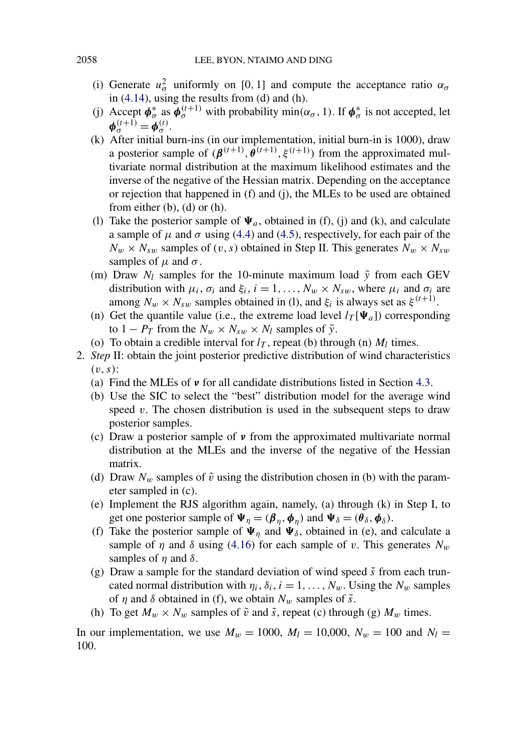- (i) Generate  $u^2_\sigma$  uniformly on [0, 1] and compute the acceptance ratio  $\alpha_\sigma$ in [\(4.14\)](#page-12-0), using the results from (d) and (h).
- (j) Accept  $\phi^*_{\sigma}$  as  $\phi_{\sigma}^{(t+1)}$  with probability min $(\alpha_{\sigma}, 1)$ . If  $\phi^*_{\sigma}$  is not accepted, let  $\boldsymbol{\phi}_{\sigma}^{(t+1)} = \boldsymbol{\phi}_{\sigma}^{(t)}$ .
- (k) After initial burn-ins (in our implementation, initial burn-in is 1000), draw a posterior sample of  $(\beta^{(t+1)}, \hat{\theta}^{(t+1)}, \xi^{(t+1)})$  from the approximated multivariate normal distribution at the maximum likelihood estimates and the inverse of the negative of the Hessian matrix. Depending on the acceptance or rejection that happened in (f) and (j), the MLEs to be used are obtained from either (b), (d) or (h).
- (1) Take the posterior sample of  $\Psi_a$ , obtained in (f), (j) and (k), and calculate a sample of  $\mu$  and  $\sigma$  using [\(4.4\)](#page-9-0) and [\(4.5\)](#page-9-0), respectively, for each pair of the  $N_w \times N_{sw}$  samples of  $(v, s)$  obtained in Step II. This generates  $N_w \times N_{sw}$ samples of  $\mu$  and  $\sigma$ .
- (m) Draw  $N_l$  samples for the 10-minute maximum load  $\tilde{y}$  from each GEV distribution with  $\mu_i$ ,  $\sigma_i$  and  $\xi_i$ ,  $i = 1, \ldots, N_w \times N_{sw}$ , where  $\mu_i$  and  $\sigma_i$  are among  $N_w \times N_{sw}$  samples obtained in (l), and  $\xi_i$  is always set as  $\xi^{(t+1)}$ .
- (n) Get the quantile value (i.e., the extreme load level  $l_T[\Psi_a]$ ) corresponding to  $1 - P_T$  from the  $N_w \times N_{sw} \times N_l$  samples of  $\tilde{y}$ .
- (o) To obtain a credible interval for  $l<sub>T</sub>$ , repeat (b) through (n)  $M<sub>l</sub>$  times.
- 2. *Step* II: obtain the joint posterior predictive distribution of wind characteristics *(v,s)*:
	- (a) Find the MLEs of *ν* for all candidate distributions listed in Section [4.3.](#page-12-0)
	- (b) Use the SIC to select the "best" distribution model for the average wind speed *v*. The chosen distribution is used in the subsequent steps to draw posterior samples.
	- (c) Draw a posterior sample of *ν* from the approximated multivariate normal distribution at the MLEs and the inverse of the negative of the Hessian matrix.
	- (d) Draw  $N_w$  samples of  $\tilde{v}$  using the distribution chosen in (b) with the parameter sampled in (c).
	- (e) Implement the RJS algorithm again, namely, (a) through (k) in Step I, to get one posterior sample of  $\Psi_{\eta} = (\beta_{\eta}, \phi_{\eta})$  and  $\Psi_{\delta} = (\theta_{\delta}, \phi_{\delta})$ .
	- (f) Take the posterior sample of  $\Psi_{\eta}$  and  $\Psi_{\delta}$ , obtained in (e), and calculate a sample of  $\eta$  and  $\delta$  using [\(4.16\)](#page-13-0) for each sample of *v*. This generates  $N_w$ samples of *η* and *δ*.
	- (g) Draw a sample for the standard deviation of wind speed  $\tilde{s}$  from each truncated normal distribution with  $\eta_i$ ,  $\delta_i$ ,  $i = 1, \ldots, N_w$ . Using the  $N_w$  samples of  $\eta$  and  $\delta$  obtained in (f), we obtain  $N_w$  samples of  $\tilde{s}$ .
	- (h) To get  $M_w \times N_w$  samples of  $\tilde{v}$  and  $\tilde{s}$ , repeat (c) through (g)  $M_w$  times.

In our implementation, we use  $M_w = 1000$ ,  $M_l = 10,000$ ,  $N_w = 100$  and  $N_l =$ 100.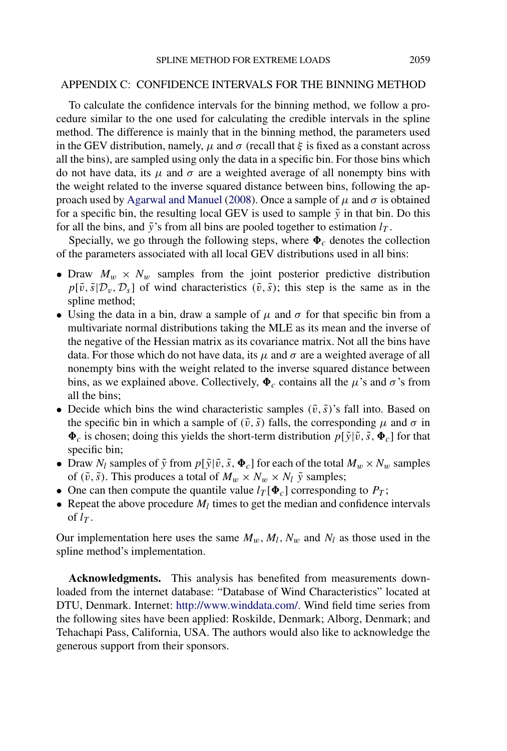## <span id="page-25-0"></span>APPENDIX C: CONFIDENCE INTERVALS FOR THE BINNING METHOD

To calculate the confidence intervals for the binning method, we follow a procedure similar to the one used for calculating the credible intervals in the spline method. The difference is mainly that in the binning method, the parameters used in the GEV distribution, namely,  $\mu$  and  $\sigma$  (recall that  $\xi$  is fixed as a constant across all the bins), are sampled using only the data in a specific bin. For those bins which do not have data, its  $\mu$  and  $\sigma$  are a weighted average of all nonempty bins with the weight related to the inverse squared distance between bins, following the ap-proach used by [Agarwal and Manuel](#page-26-0) [\(2008\)](#page-26-0). Once a sample of  $\mu$  and  $\sigma$  is obtained for a specific bin, the resulting local GEV is used to sample  $\tilde{y}$  in that bin. Do this for all the bins, and  $\tilde{y}$ 's from all bins are pooled together to estimation  $l_T$ .

Specially, we go through the following steps, where  $\Phi_c$  denotes the collection of the parameters associated with all local GEV distributions used in all bins:

- Draw  $M_w \times N_w$  samples from the joint posterior predictive distribution  $p[\tilde{v}, \tilde{s} | \mathcal{D}_v, \mathcal{D}_s]$  of wind characteristics  $(\tilde{v}, \tilde{s})$ ; this step is the same as in the spline method;
- Using the data in a bin, draw a sample of  $\mu$  and  $\sigma$  for that specific bin from a multivariate normal distributions taking the MLE as its mean and the inverse of the negative of the Hessian matrix as its covariance matrix. Not all the bins have data. For those which do not have data, its  $\mu$  and  $\sigma$  are a weighted average of all nonempty bins with the weight related to the inverse squared distance between bins, as we explained above. Collectively,  $\Phi_c$  contains all the  $\mu$ 's and  $\sigma$ 's from all the bins;
- Decide which bins the wind characteristic samples  $(\tilde{v}, \tilde{s})$ 's fall into. Based on the specific bin in which a sample of  $(\tilde{v}, \tilde{s})$  falls, the corresponding  $\mu$  and  $\sigma$  in  $\Phi_c$  is chosen; doing this yields the short-term distribution  $p[\tilde{y}|\tilde{v},\tilde{s},\Phi_c]$  for that specific bin;
- Draw  $N_l$  samples of  $\tilde{y}$  from  $p[\tilde{y}|\tilde{v}, \tilde{s}, \Phi_c]$  for each of the total  $M_w \times N_w$  samples of  $(\tilde{v}, \tilde{s})$ . This produces a total of  $M_w \times N_w \times N_l$   $\tilde{v}$  samples;
- One can then compute the quantile value  $l_T[\Phi_c]$  corresponding to  $P_T$ ;
- Repeat the above procedure  $M_l$  times to get the median and confidence intervals of  $l_T$ .

Our implementation here uses the same  $M_w$ ,  $M_l$ ,  $N_w$  and  $N_l$  as those used in the spline method's implementation.

**Acknowledgments.** This analysis has benefited from measurements downloaded from the internet database: "Database of Wind Characteristics" located at DTU, Denmark. Internet: [http://www.winddata.com/.](http://www.winddata.com/) Wind field time series from the following sites have been applied: Roskilde, Denmark; Alborg, Denmark; and Tehachapi Pass, California, USA. The authors would also like to acknowledge the generous support from their sponsors.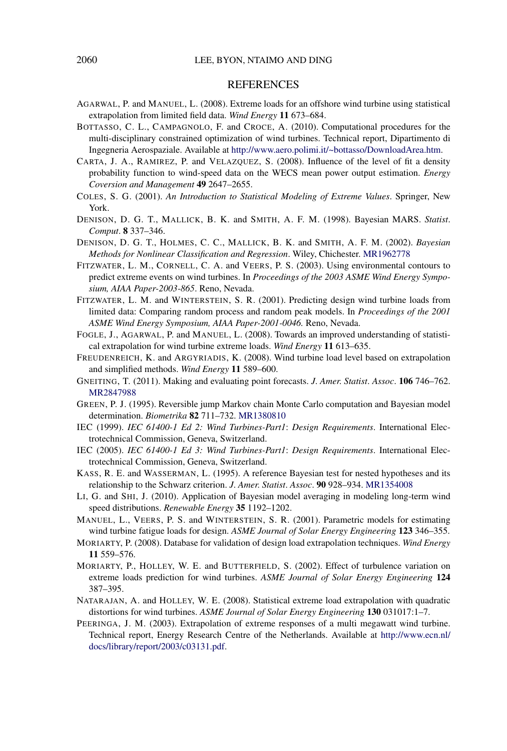#### REFERENCES

- <span id="page-26-0"></span>AGARWAL, P. and MANUEL, L. (2008). Extreme loads for an offshore wind turbine using statistical extrapolation from limited field data. *Wind Energy* **11** 673–684.
- BOTTASSO, C. L., CAMPAGNOLO, F. and CROCE, A. (2010). Computational procedures for the multi-disciplinary constrained optimization of wind turbines. Technical report, Dipartimento di Ingegneria Aerospaziale. Available at [http://www.aero.polimi.it/~bottasso/DownloadArea.htm.](http://www.aero.polimi.it/~bottasso/DownloadArea.htm)
- CARTA, J. A., RAMIREZ, P. and VELAZQUEZ, S. (2008). Influence of the level of fit a density probability function to wind-speed data on the WECS mean power output estimation. *Energy Coversion and Management* **49** 2647–2655.
- COLES, S. G. (2001). *An Introduction to Statistical Modeling of Extreme Values*. Springer, New York.
- DENISON, D. G. T., MALLICK, B. K. and SMITH, A. F. M. (1998). Bayesian MARS. *Statist*. *Comput*. **8** 337–346.
- DENISON, D. G. T., HOLMES, C. C., MALLICK, B. K. and SMITH, A. F. M. (2002). *Bayesian Methods for Nonlinear Classification and Regression*. Wiley, Chichester. [MR1962778](http://www.ams.org/mathscinet-getitem?mr=1962778)
- FITZWATER, L. M., CORNELL, C. A. and VEERS, P. S. (2003). Using environmental contours to predict extreme events on wind turbines. In *Proceedings of the 2003 ASME Wind Energy Symposium, AIAA Paper-2003-865*. Reno, Nevada.
- FITZWATER, L. M. and WINTERSTEIN, S. R. (2001). Predicting design wind turbine loads from limited data: Comparing random process and random peak models. In *Proceedings of the 2001 ASME Wind Energy Symposium, AIAA Paper-2001-0046.* Reno, Nevada.
- FOGLE, J., AGARWAL, P. and MANUEL, L. (2008). Towards an improved understanding of statistical extrapolation for wind turbine extreme loads. *Wind Energy* **11** 613–635.
- FREUDENREICH, K. and ARGYRIADIS, K. (2008). Wind turbine load level based on extrapolation and simplified methods. *Wind Energy* **11** 589–600.
- GNEITING, T. (2011). Making and evaluating point forecasts. *J*. *Amer*. *Statist*. *Assoc*. **106** 746–762. [MR2847988](http://www.ams.org/mathscinet-getitem?mr=2847988)
- GREEN, P. J. (1995). Reversible jump Markov chain Monte Carlo computation and Bayesian model determination. *Biometrika* **82** 711–732. [MR1380810](http://www.ams.org/mathscinet-getitem?mr=1380810)
- IEC (1999). *IEC 61400-1 Ed 2: Wind Turbines-Part1*: *Design Requirements*. International Electrotechnical Commission, Geneva, Switzerland.
- IEC (2005). *IEC 61400-1 Ed 3: Wind Turbines-Part1*: *Design Requirements*. International Electrotechnical Commission, Geneva, Switzerland.
- KASS, R. E. and WASSERMAN, L. (1995). A reference Bayesian test for nested hypotheses and its relationship to the Schwarz criterion. *J*. *Amer*. *Statist*. *Assoc*. **90** 928–934. [MR1354008](http://www.ams.org/mathscinet-getitem?mr=1354008)
- LI, G. and SHI, J. (2010). Application of Bayesian model averaging in modeling long-term wind speed distributions. *Renewable Energy* **35** 1192–1202.
- MANUEL, L., VEERS, P. S. and WINTERSTEIN, S. R. (2001). Parametric models for estimating wind turbine fatigue loads for design. *ASME Journal of Solar Energy Engineering* **123** 346–355.
- MORIARTY, P. (2008). Database for validation of design load extrapolation techniques. *Wind Energy* **11** 559–576.
- MORIARTY, P., HOLLEY, W. E. and BUTTERFIELD, S. (2002). Effect of turbulence variation on extreme loads prediction for wind turbines. *ASME Journal of Solar Energy Engineering* **124** 387–395.
- NATARAJAN, A. and HOLLEY, W. E. (2008). Statistical extreme load extrapolation with quadratic distortions for wind turbines. *ASME Journal of Solar Energy Engineering* **130** 031017:1–7.
- PEERINGA, J. M. (2003). Extrapolation of extreme responses of a multi megawatt wind turbine. Technical report, Energy Research Centre of the Netherlands. Available at [http://www.ecn.nl/](http://www.ecn.nl/docs/library/report/2003/c03131.pdf) [docs/library/report/2003/c03131.pdf](http://www.ecn.nl/docs/library/report/2003/c03131.pdf).